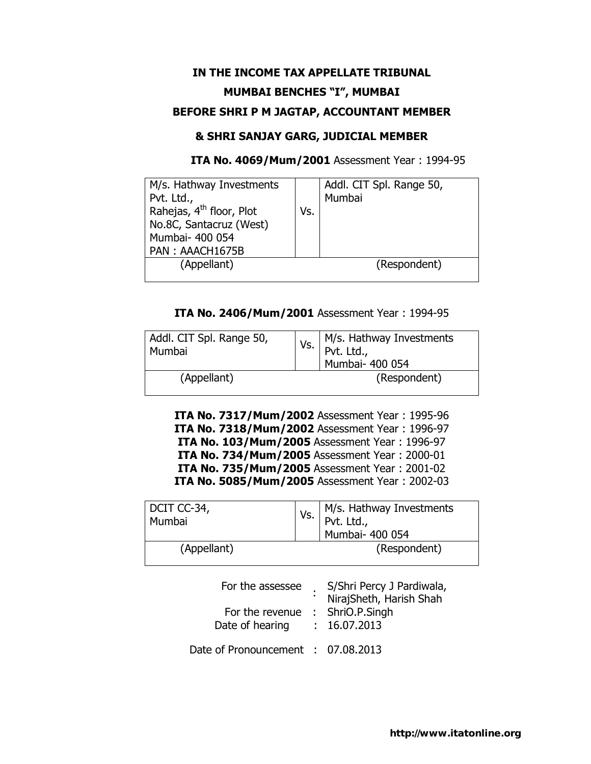# **IN THE INCOME TAX APPELLATE TRIBUNAL MUMBAI BENCHES "I", MUMBAI BEFORE SHRI P M JAGTAP, ACCOUNTANT MEMBER**

## **& SHRI SANJAY GARG, JUDICIAL MEMBER**

 **ITA No. 4069/Mum/2001** Assessment Year : 1994-95

| M/s. Hathway Investments             |     | Addl. CIT Spl. Range 50, |
|--------------------------------------|-----|--------------------------|
| Pvt. Ltd.,                           |     | Mumbai                   |
| Rahejas, 4 <sup>th</sup> floor, Plot | Vs. |                          |
| No.8C, Santacruz (West)              |     |                          |
| Mumbai- 400 054                      |     |                          |
| PAN: AAACH1675B                      |     |                          |
| (Appellant)                          |     | (Respondent)             |
|                                      |     |                          |

## **ITA No. 2406/Mum/2001** Assessment Year : 1994-95

| Addl. CIT Spl. Range 50,<br>Mumbai | Vs. | M/s. Hathway Investments<br>Pvt. Ltd.,<br>Mumbai- 400 054 |
|------------------------------------|-----|-----------------------------------------------------------|
| (Appellant)                        |     | (Respondent)                                              |

**ITA No. 7317/Mum/2002** Assessment Year : 1995-96 **ITA No. 7318/Mum/2002** Assessment Year : 1996-97 **ITA No. 103/Mum/2005** Assessment Year : 1996-97 **ITA No. 734/Mum/2005** Assessment Year : 2000-01 **ITA No. 735/Mum/2005** Assessment Year : 2001-02 **ITA No. 5085/Mum/2005** Assessment Year : 2002-03

| DCIT CC-34,<br>Mumbai | Vs. | M/s. Hathway Investments<br>Pvt. Ltd.,<br>Mumbai- 400 054 |
|-----------------------|-----|-----------------------------------------------------------|
| (Appellant)           |     | (Respondent)                                              |

| For the assessee<br>For the revenue : ShriO.P.Singh<br>Date of hearing | S/Shri Percy J Pardiwala,<br>NirajSheth, Harish Shah<br>: 16.07.2013 |
|------------------------------------------------------------------------|----------------------------------------------------------------------|
| Date of Pronouncement : 07.08.2013                                     |                                                                      |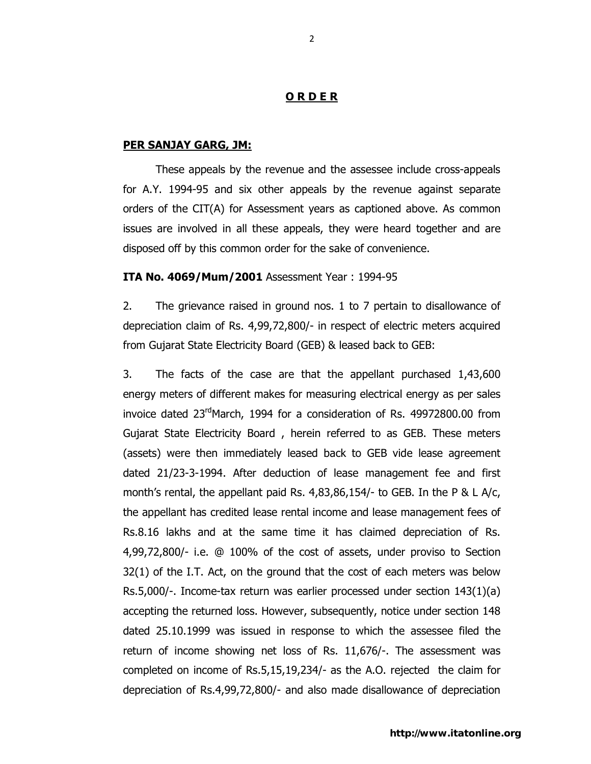#### **O R D E R**

#### **PER SANJAY GARG, JM:**

These appeals by the revenue and the assessee include cross-appeals for A.Y. 1994-95 and six other appeals by the revenue against separate orders of the CIT(A) for Assessment years as captioned above. As common issues are involved in all these appeals, they were heard together and are disposed off by this common order for the sake of convenience.

#### **ITA No. 4069/Mum/2001** Assessment Year : 1994-95

2. The grievance raised in ground nos. 1 to 7 pertain to disallowance of depreciation claim of Rs. 4,99,72,800/- in respect of electric meters acquired from Gujarat State Electricity Board (GEB) & leased back to GEB:

3. The facts of the case are that the appellant purchased 1,43,600 energy meters of different makes for measuring electrical energy as per sales invoice dated  $23<sup>rd</sup>$ March, 1994 for a consideration of Rs. 49972800.00 from Gujarat State Electricity Board , herein referred to as GEB. These meters (assets) were then immediately leased back to GEB vide lease agreement dated 21/23-3-1994. After deduction of lease management fee and first month's rental, the appellant paid Rs. 4,83,86,154/- to GEB. In the P & L A/c, the appellant has credited lease rental income and lease management fees of Rs.8.16 lakhs and at the same time it has claimed depreciation of Rs. 4,99,72,800/- i.e. @ 100% of the cost of assets, under proviso to Section 32(1) of the I.T. Act, on the ground that the cost of each meters was below Rs.5,000/-. Income-tax return was earlier processed under section 143(1)(a) accepting the returned loss. However, subsequently, notice under section 148 dated 25.10.1999 was issued in response to which the assessee filed the return of income showing net loss of Rs. 11,676/-. The assessment was completed on income of Rs.5,15,19,234/- as the A.O. rejected the claim for depreciation of Rs.4,99,72,800/- and also made disallowance of depreciation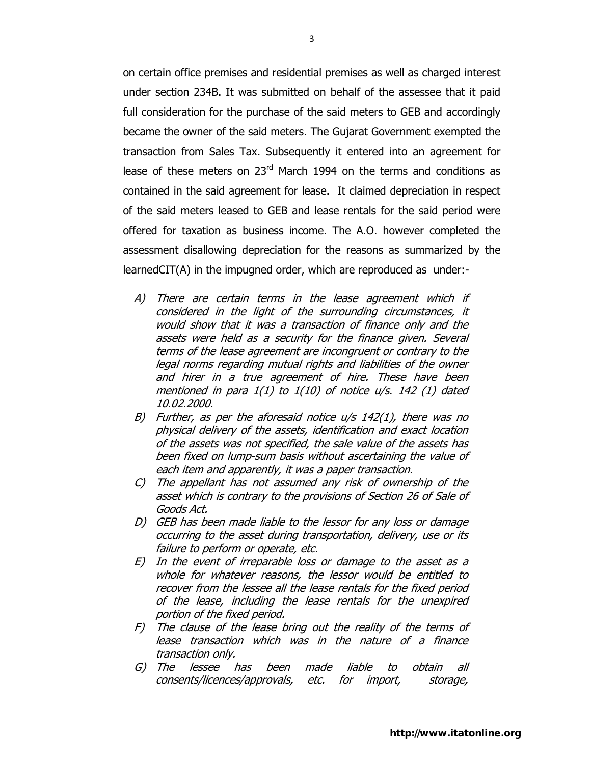on certain office premises and residential premises as well as charged interest under section 234B. It was submitted on behalf of the assessee that it paid full consideration for the purchase of the said meters to GEB and accordingly became the owner of the said meters. The Gujarat Government exempted the transaction from Sales Tax. Subsequently it entered into an agreement for lease of these meters on  $23<sup>rd</sup>$  March 1994 on the terms and conditions as contained in the said agreement for lease. It claimed depreciation in respect of the said meters leased to GEB and lease rentals for the said period were offered for taxation as business income. The A.O. however completed the assessment disallowing depreciation for the reasons as summarized by the learnedCIT(A) in the impugned order, which are reproduced as under:-

- A) There are certain terms in the lease agreement which if considered in the light of the surrounding circumstances, it would show that it was a transaction of finance only and the assets were held as a security for the finance given. Several terms of the lease agreement are incongruent or contrary to the legal norms regarding mutual rights and liabilities of the owner and hirer in a true agreement of hire. These have been mentioned in para 1(1) to 1(10) of notice u/s. 142 (1) dated 10.02.2000.
- B) Further, as per the aforesaid notice u/s 142(1), there was no physical delivery of the assets, identification and exact location of the assets was not specified, the sale value of the assets has been fixed on lump-sum basis without ascertaining the value of each item and apparently, it was a paper transaction.
- C) The appellant has not assumed any risk of ownership of the asset which is contrary to the provisions of Section 26 of Sale of Goods Act.
- D) GEB has been made liable to the lessor for any loss or damage occurring to the asset during transportation, delivery, use or its failure to perform or operate, etc.
- E) In the event of irreparable loss or damage to the asset as a whole for whatever reasons, the lessor would be entitled to recover from the lessee all the lease rentals for the fixed period of the lease, including the lease rentals for the unexpired portion of the fixed period.
- F) The clause of the lease bring out the reality of the terms of lease transaction which was in the nature of a finance transaction only.
- G) The lessee has been made liable to obtain all consents/licences/approvals, etc. for import, storage,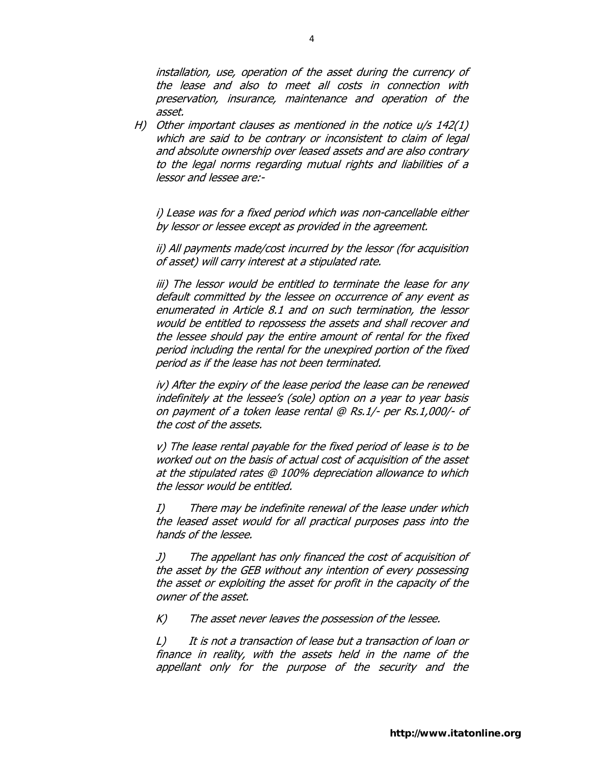installation, use, operation of the asset during the currency of the lease and also to meet all costs in connection with preservation, insurance, maintenance and operation of the asset.

H) Other important clauses as mentioned in the notice  $u/s$  142(1) which are said to be contrary or inconsistent to claim of legal and absolute ownership over leased assets and are also contrary to the legal norms regarding mutual rights and liabilities of a lessor and lessee are:-

i) Lease was for a fixed period which was non-cancellable either by lessor or lessee except as provided in the agreement.

ii) All payments made/cost incurred by the lessor (for acquisition of asset) will carry interest at a stipulated rate.

iii) The lessor would be entitled to terminate the lease for any default committed by the lessee on occurrence of any event as enumerated in Article 8.1 and on such termination, the lessor would be entitled to repossess the assets and shall recover and the lessee should pay the entire amount of rental for the fixed period including the rental for the unexpired portion of the fixed period as if the lease has not been terminated.

iv) After the expiry of the lease period the lease can be renewed indefinitely at the lessee's (sole) option on a year to year basis on payment of a token lease rental @ Rs.1/- per Rs.1,000/- of the cost of the assets.

v) The lease rental payable for the fixed period of lease is to be worked out on the basis of actual cost of acquisition of the asset at the stipulated rates @ 100% depreciation allowance to which the lessor would be entitled.

I) There may be indefinite renewal of the lease under which the leased asset would for all practical purposes pass into the hands of the lessee.

J) The appellant has only financed the cost of acquisition of the asset by the GEB without any intention of every possessing the asset or exploiting the asset for profit in the capacity of the owner of the asset.

K) The asset never leaves the possession of the lessee.

L) It is not a transaction of lease but a transaction of loan or finance in reality, with the assets held in the name of the appellant only for the purpose of the security and the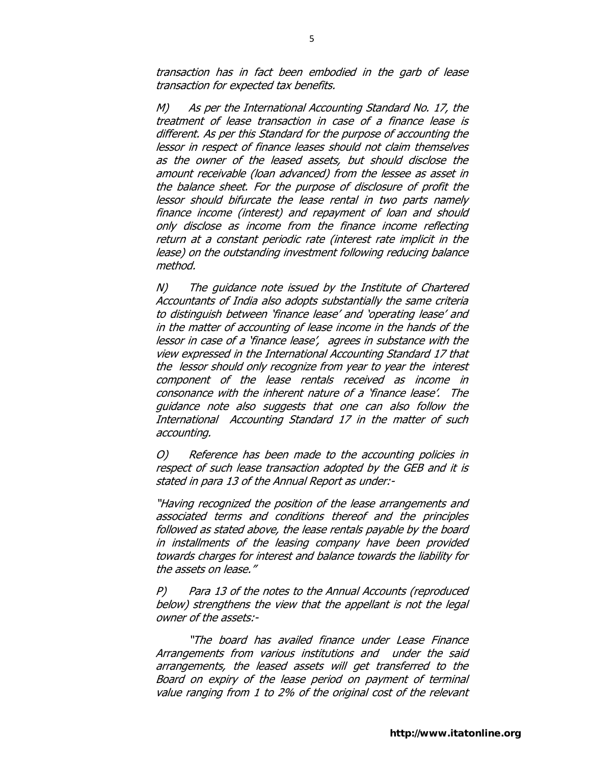transaction has in fact been embodied in the garb of lease transaction for expected tax benefits.

M) As per the International Accounting Standard No. 17, the treatment of lease transaction in case of a finance lease is different. As per this Standard for the purpose of accounting the lessor in respect of finance leases should not claim themselves as the owner of the leased assets, but should disclose the amount receivable (loan advanced) from the lessee as asset in the balance sheet. For the purpose of disclosure of profit the lessor should bifurcate the lease rental in two parts namely finance income (interest) and repayment of loan and should only disclose as income from the finance income reflecting return at a constant periodic rate (interest rate implicit in the lease) on the outstanding investment following reducing balance method.

N) The guidance note issued by the Institute of Chartered Accountants of India also adopts substantially the same criteria to distinguish between 'finance lease' and 'operating lease' and in the matter of accounting of lease income in the hands of the lessor in case of a 'finance lease', agrees in substance with the view expressed in the International Accounting Standard 17 that the lessor should only recognize from year to year the interest component of the lease rentals received as income in consonance with the inherent nature of a 'finance lease'. The guidance note also suggests that one can also follow the International Accounting Standard 17 in the matter of such accounting.

O) Reference has been made to the accounting policies in respect of such lease transaction adopted by the GEB and it is stated in para 13 of the Annual Report as under:-

"Having recognized the position of the lease arrangements and associated terms and conditions thereof and the principles followed as stated above, the lease rentals payable by the board in installments of the leasing company have been provided towards charges for interest and balance towards the liability for the assets on lease."

P) Para 13 of the notes to the Annual Accounts (reproduced below) strengthens the view that the appellant is not the legal owner of the assets:-

"The board has availed finance under Lease Finance Arrangements from various institutions and under the said arrangements, the leased assets will get transferred to the Board on expiry of the lease period on payment of terminal value ranging from 1 to 2% of the original cost of the relevant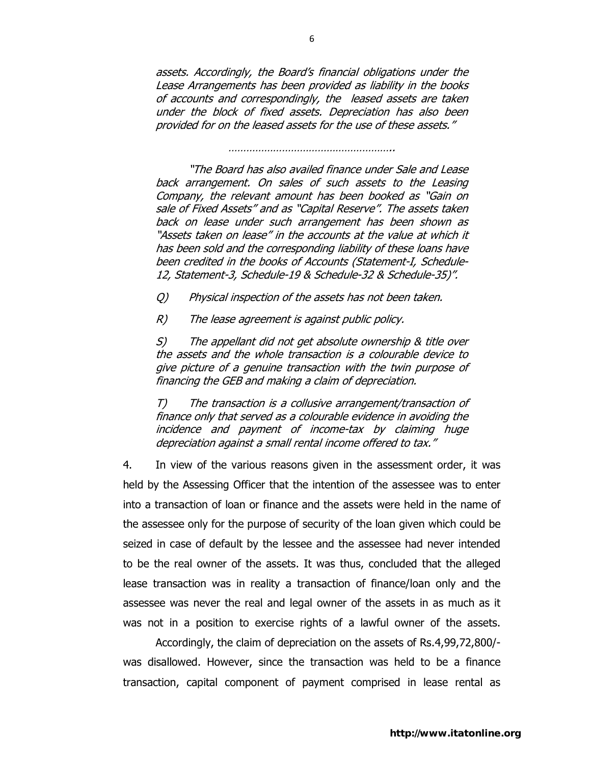assets. Accordingly, the Board's financial obligations under the Lease Arrangements has been provided as liability in the books of accounts and correspondingly, the leased assets are taken under the block of fixed assets. Depreciation has also been provided for on the leased assets for the use of these assets."

………………………………………………………………

"The Board has also availed finance under Sale and Lease back arrangement. On sales of such assets to the Leasing Company, the relevant amount has been booked as "Gain on sale of Fixed Assets" and as "Capital Reserve". The assets taken back on lease under such arrangement has been shown as "Assets taken on lease" in the accounts at the value at which it has been sold and the corresponding liability of these loans have been credited in the books of Accounts (Statement-I, Schedule-12, Statement-3, Schedule-19 & Schedule-32 & Schedule-35)".

Q) Physical inspection of the assets has not been taken.

R) The lease agreement is against public policy.

S) The appellant did not get absolute ownership & title over the assets and the whole transaction is a colourable device to give picture of a genuine transaction with the twin purpose of financing the GEB and making a claim of depreciation.

T) The transaction is a collusive arrangement/transaction of finance only that served as a colourable evidence in avoiding the incidence and payment of income-tax by claiming huge depreciation against a small rental income offered to tax."

4. In view of the various reasons given in the assessment order, it was held by the Assessing Officer that the intention of the assessee was to enter into a transaction of loan or finance and the assets were held in the name of the assessee only for the purpose of security of the loan given which could be seized in case of default by the lessee and the assessee had never intended to be the real owner of the assets. It was thus, concluded that the alleged lease transaction was in reality a transaction of finance/loan only and the assessee was never the real and legal owner of the assets in as much as it was not in a position to exercise rights of a lawful owner of the assets.

 Accordingly, the claim of depreciation on the assets of Rs.4,99,72,800/ was disallowed. However, since the transaction was held to be a finance transaction, capital component of payment comprised in lease rental as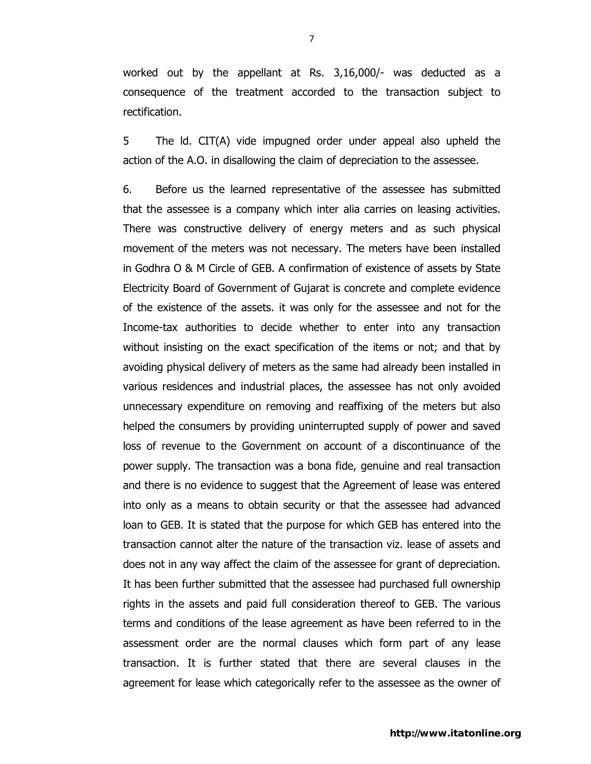worked out by the appellant at Rs. 3,16,000/- was deducted as a consequence of the treatment accorded to the transaction subject to rectification.

5 The ld. CIT(A) vide impugned order under appeal also upheld the action of the A.O. in disallowing the claim of depreciation to the assessee.

6. Before us the learned representative of the assessee has submitted that the assessee is a company which inter alia carries on leasing activities. There was constructive delivery of energy meters and as such physical movement of the meters was not necessary. The meters have been installed in Godhra O & M Circle of GEB. A confirmation of existence of assets by State Electricity Board of Government of Gujarat is concrete and complete evidence of the existence of the assets. it was only for the assessee and not for the Income-tax authorities to decide whether to enter into any transaction without insisting on the exact specification of the items or not; and that by avoiding physical delivery of meters as the same had already been installed in various residences and industrial places, the assessee has not only avoided unnecessary expenditure on removing and reaffixing of the meters but also helped the consumers by providing uninterrupted supply of power and saved loss of revenue to the Government on account of a discontinuance of the power supply. The transaction was a bona fide, genuine and real transaction and there is no evidence to suggest that the Agreement of lease was entered into only as a means to obtain security or that the assessee had advanced loan to GEB. It is stated that the purpose for which GEB has entered into the transaction cannot alter the nature of the transaction viz. lease of assets and does not in any way affect the claim of the assessee for grant of depreciation. It has been further submitted that the assessee had purchased full ownership rights in the assets and paid full consideration thereof to GEB. The various terms and conditions of the lease agreement as have been referred to in the assessment order are the normal clauses which form part of any lease transaction. It is further stated that there are several clauses in the agreement for lease which categorically refer to the assessee as the owner of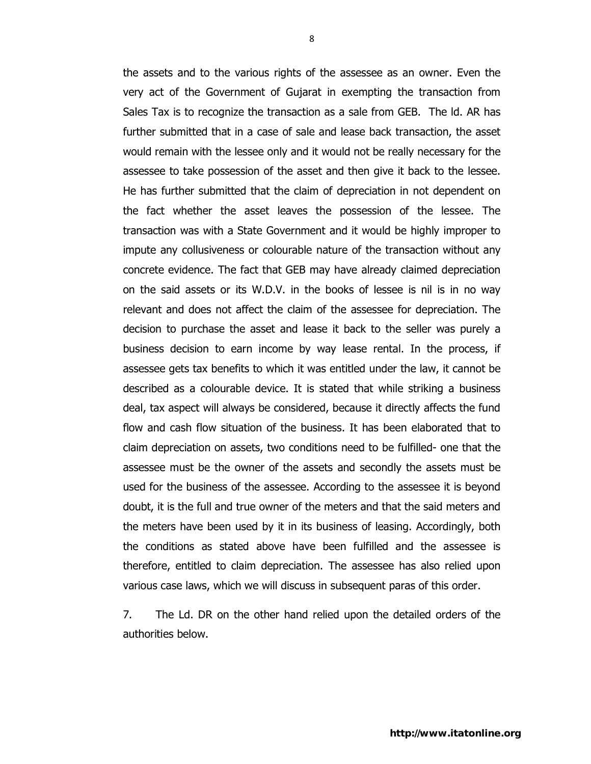the assets and to the various rights of the assessee as an owner. Even the very act of the Government of Gujarat in exempting the transaction from Sales Tax is to recognize the transaction as a sale from GEB. The ld. AR has further submitted that in a case of sale and lease back transaction, the asset would remain with the lessee only and it would not be really necessary for the assessee to take possession of the asset and then give it back to the lessee. He has further submitted that the claim of depreciation in not dependent on the fact whether the asset leaves the possession of the lessee. The transaction was with a State Government and it would be highly improper to impute any collusiveness or colourable nature of the transaction without any concrete evidence. The fact that GEB may have already claimed depreciation on the said assets or its W.D.V. in the books of lessee is nil is in no way relevant and does not affect the claim of the assessee for depreciation. The decision to purchase the asset and lease it back to the seller was purely a business decision to earn income by way lease rental. In the process, if assessee gets tax benefits to which it was entitled under the law, it cannot be described as a colourable device. It is stated that while striking a business deal, tax aspect will always be considered, because it directly affects the fund flow and cash flow situation of the business. It has been elaborated that to claim depreciation on assets, two conditions need to be fulfilled- one that the assessee must be the owner of the assets and secondly the assets must be used for the business of the assessee. According to the assessee it is beyond doubt, it is the full and true owner of the meters and that the said meters and the meters have been used by it in its business of leasing. Accordingly, both the conditions as stated above have been fulfilled and the assessee is therefore, entitled to claim depreciation. The assessee has also relied upon various case laws, which we will discuss in subsequent paras of this order.

 7. The Ld. DR on the other hand relied upon the detailed orders of the authorities below.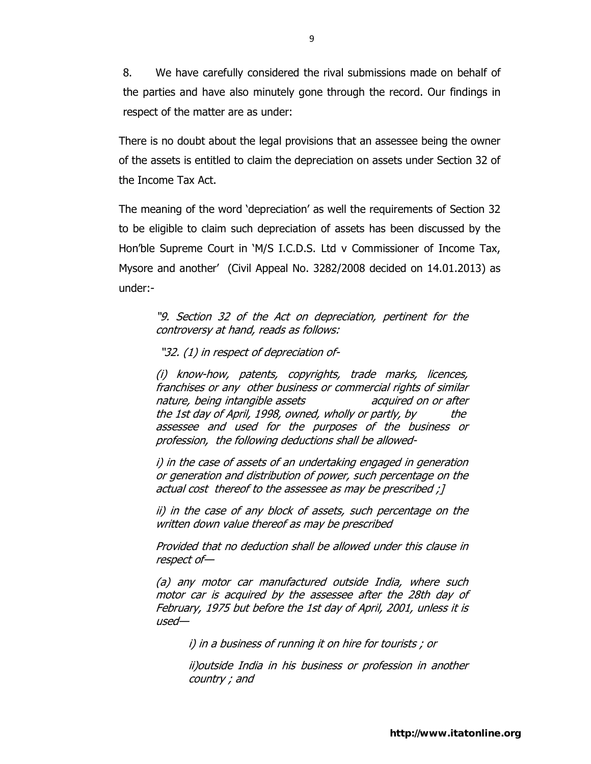8. We have carefully considered the rival submissions made on behalf of the parties and have also minutely gone through the record. Our findings in respect of the matter are as under:

There is no doubt about the legal provisions that an assessee being the owner of the assets is entitled to claim the depreciation on assets under Section 32 of the Income Tax Act.

The meaning of the word 'depreciation' as well the requirements of Section 32 to be eligible to claim such depreciation of assets has been discussed by the Hon'ble Supreme Court in 'M/S I.C.D.S. Ltd v Commissioner of Income Tax, Mysore and another' (Civil Appeal No. 3282/2008 decided on 14.01.2013) as under:-

"9. Section 32 of the Act on depreciation, pertinent for the controversy at hand, reads as follows:

"32. (1) in respect of depreciation of-

(i) know-how, patents, copyrights, trade marks, licences, franchises or any other business or commercial rights of similar nature, being intangible assets acquired on or after the 1st day of April, 1998, owned, wholly or partly, by the assessee and used for the purposes of the business or profession, the following deductions shall be allowed-

i) in the case of assets of an undertaking engaged in generation or generation and distribution of power, such percentage on the actual cost thereof to the assessee as may be prescribed ;]

ii) in the case of any block of assets, such percentage on the written down value thereof as may be prescribed

Provided that no deduction shall be allowed under this clause in respect of—

(a) any motor car manufactured outside India, where such motor car is acquired by the assessee after the 28th day of February, 1975 but before the 1st day of April, 2001, unless it is used—

i) in a business of running it on hire for tourists ; or

ii)outside India in his business or profession in another country ; and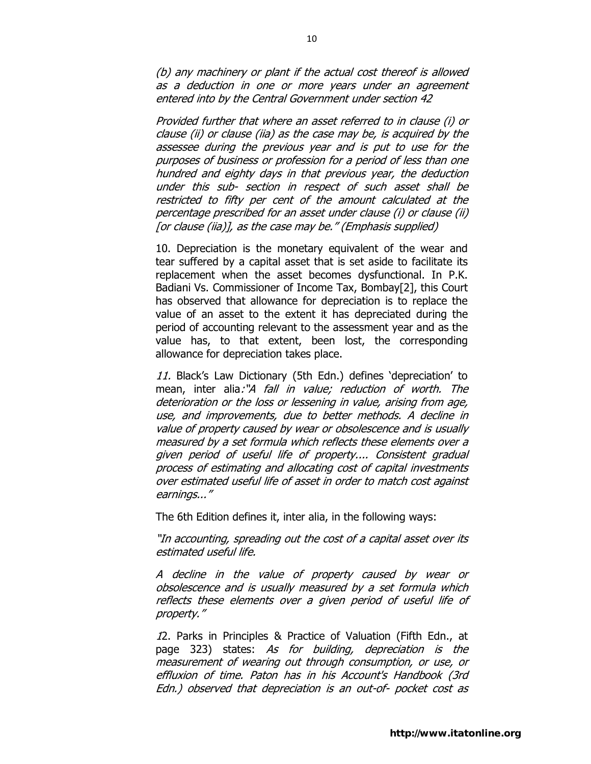(b) any machinery or plant if the actual cost thereof is allowed as a deduction in one or more years under an agreement entered into by the Central Government under section 42

Provided further that where an asset referred to in clause (i) or clause (ii) or clause (iia) as the case may be, is acquired by the assessee during the previous year and is put to use for the purposes of business or profession for a period of less than one hundred and eighty days in that previous year, the deduction under this sub- section in respect of such asset shall be restricted to fifty per cent of the amount calculated at the percentage prescribed for an asset under clause (i) or clause (ii) [or clause (iia)], as the case may be." (Emphasis supplied)

10. Depreciation is the monetary equivalent of the wear and tear suffered by a capital asset that is set aside to facilitate its replacement when the asset becomes dysfunctional. In P.K. Badiani Vs. Commissioner of Income Tax, Bombay[2], this Court has observed that allowance for depreciation is to replace the value of an asset to the extent it has depreciated during the period of accounting relevant to the assessment year and as the value has, to that extent, been lost, the corresponding allowance for depreciation takes place.

11. Black's Law Dictionary (5th Edn.) defines 'depreciation' to mean, inter alia:"A *fall in value; reduction of worth. The* deterioration or the loss or lessening in value, arising from age, use, and improvements, due to better methods. A decline in value of property caused by wear or obsolescence and is usually measured by a set formula which reflects these elements over a given period of useful life of property.... Consistent gradual process of estimating and allocating cost of capital investments over estimated useful life of asset in order to match cost against earnings..."

The 6th Edition defines it, inter alia, in the following ways:

"In accounting, spreading out the cost of a capital asset over its estimated useful life.

A decline in the value of property caused by wear or obsolescence and is usually measured by a set formula which reflects these elements over a given period of useful life of property."

12. Parks in Principles & Practice of Valuation (Fifth Edn., at page 323) states: As for building, depreciation is the measurement of wearing out through consumption, or use, or effluxion of time. Paton has in his Account's Handbook (3rd Edn.) observed that depreciation is an out-of- pocket cost as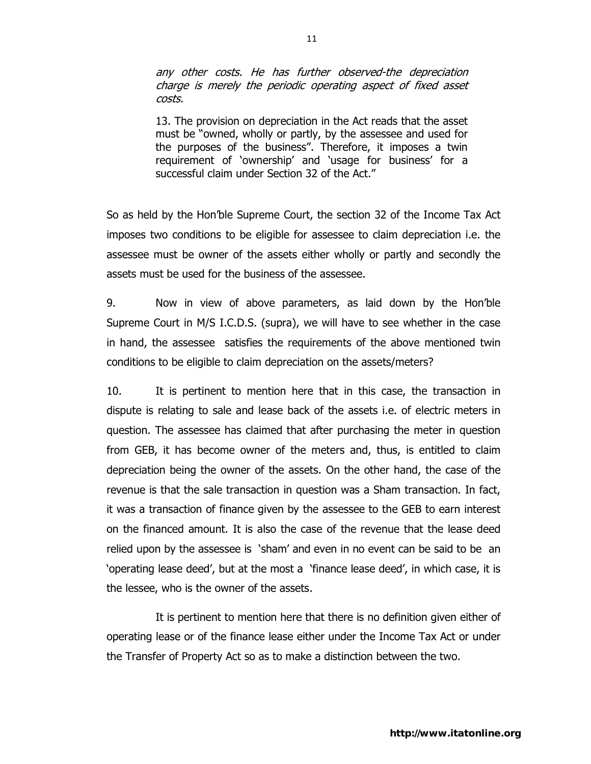any other costs. He has further observed-the depreciation charge is merely the periodic operating aspect of fixed asset costs.

13. The provision on depreciation in the Act reads that the asset must be "owned, wholly or partly, by the assessee and used for the purposes of the business". Therefore, it imposes a twin requirement of 'ownership' and 'usage for business' for a successful claim under Section 32 of the Act."

So as held by the Hon'ble Supreme Court, the section 32 of the Income Tax Act imposes two conditions to be eligible for assessee to claim depreciation i.e. the assessee must be owner of the assets either wholly or partly and secondly the assets must be used for the business of the assessee.

9. Now in view of above parameters, as laid down by the Hon'ble Supreme Court in M/S I.C.D.S. (supra), we will have to see whether in the case in hand, the assessee satisfies the requirements of the above mentioned twin conditions to be eligible to claim depreciation on the assets/meters?

10. It is pertinent to mention here that in this case, the transaction in dispute is relating to sale and lease back of the assets i.e. of electric meters in question. The assessee has claimed that after purchasing the meter in question from GEB, it has become owner of the meters and, thus, is entitled to claim depreciation being the owner of the assets. On the other hand, the case of the revenue is that the sale transaction in question was a Sham transaction. In fact, it was a transaction of finance given by the assessee to the GEB to earn interest on the financed amount. It is also the case of the revenue that the lease deed relied upon by the assessee is 'sham' and even in no event can be said to be an 'operating lease deed', but at the most a 'finance lease deed', in which case, it is the lessee, who is the owner of the assets.

 It is pertinent to mention here that there is no definition given either of operating lease or of the finance lease either under the Income Tax Act or under the Transfer of Property Act so as to make a distinction between the two.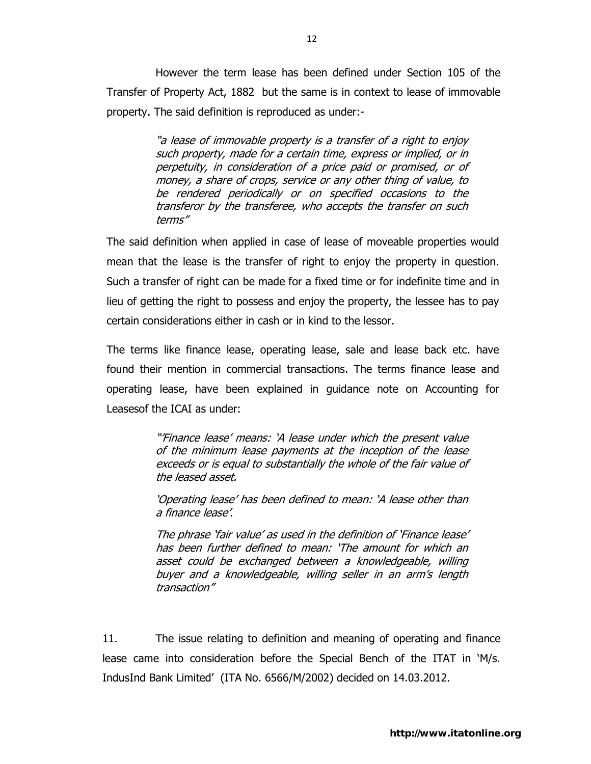However the term lease has been defined under Section 105 of the Transfer of Property Act, 1882 but the same is in context to lease of immovable property. The said definition is reproduced as under:-

> "a lease of immovable property is a transfer of a right to enjoy such property, made for a certain time, express or implied, or in perpetuity, in consideration of a price paid or promised, or of money, a share of crops, service or any other thing of value, to be rendered periodically or on specified occasions to the transferor by the transferee, who accepts the transfer on such terms"

The said definition when applied in case of lease of moveable properties would mean that the lease is the transfer of right to enjoy the property in question. Such a transfer of right can be made for a fixed time or for indefinite time and in lieu of getting the right to possess and enjoy the property, the lessee has to pay certain considerations either in cash or in kind to the lessor.

The terms like finance lease, operating lease, sale and lease back etc. have found their mention in commercial transactions. The terms finance lease and operating lease, have been explained in guidance note on Accounting for Leasesof the ICAI as under:

> "'Finance lease' means: 'A lease under which the present value of the minimum lease payments at the inception of the lease exceeds or is equal to substantially the whole of the fair value of the leased asset.

> 'Operating lease' has been defined to mean: 'A lease other than a finance lease'.

> The phrase 'fair value' as used in the definition of 'Finance lease' has been further defined to mean: 'The amount for which an asset could be exchanged between a knowledgeable, willing buyer and a knowledgeable, willing seller in an arm's length transaction"

11. The issue relating to definition and meaning of operating and finance lease came into consideration before the Special Bench of the ITAT in 'M/s. IndusInd Bank Limited' (ITA No. 6566/M/2002) decided on 14.03.2012.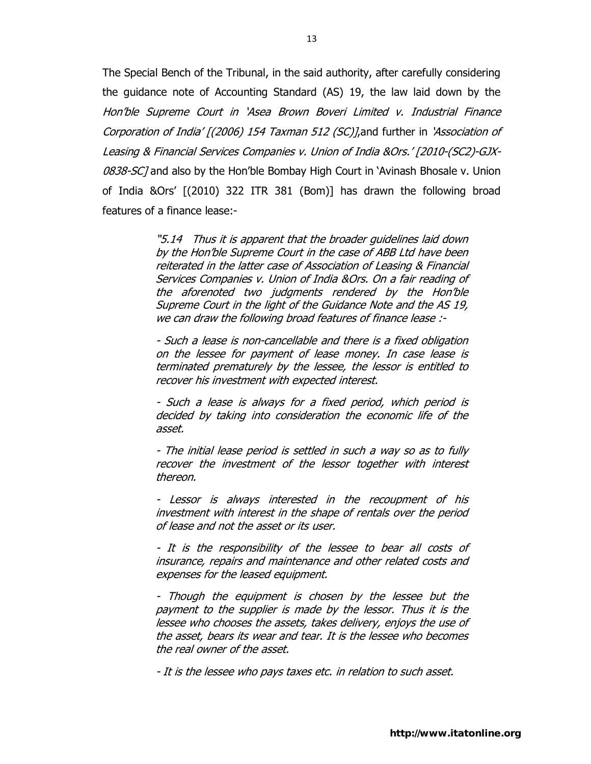The Special Bench of the Tribunal, in the said authority, after carefully considering the guidance note of Accounting Standard (AS) 19, the law laid down by the Hon'ble Supreme Court in 'Asea Brown Boveri Limited v. Industrial Finance Corporation of India' [(2006) 154 Taxman 512 (SC)],and further in 'Association of Leasing & Financial Services Companies v. Union of India &Ors.' [2010-(SC2)-GJX-0838-SC] and also by the Hon'ble Bombay High Court in 'Avinash Bhosale v. Union of India &Ors' [(2010) 322 ITR 381 (Bom)] has drawn the following broad features of a finance lease:-

> "5.14 Thus it is apparent that the broader guidelines laid down by the Hon'ble Supreme Court in the case of ABB Ltd have been reiterated in the latter case of Association of Leasing & Financial Services Companies v. Union of India &Ors. On a fair reading of the aforenoted two judgments rendered by the Hon'ble Supreme Court in the light of the Guidance Note and the AS 19, we can draw the following broad features of finance lease :-

> - Such a lease is non-cancellable and there is a fixed obligation on the lessee for payment of lease money. In case lease is terminated prematurely by the lessee, the lessor is entitled to recover his investment with expected interest.

> - Such a lease is always for a fixed period, which period is decided by taking into consideration the economic life of the asset.

> - The initial lease period is settled in such a way so as to fully recover the investment of the lessor together with interest thereon.

> - Lessor is always interested in the recoupment of his investment with interest in the shape of rentals over the period of lease and not the asset or its user.

> - It is the responsibility of the lessee to bear all costs of insurance, repairs and maintenance and other related costs and expenses for the leased equipment.

> - Though the equipment is chosen by the lessee but the payment to the supplier is made by the lessor. Thus it is the lessee who chooses the assets, takes delivery, enjoys the use of the asset, bears its wear and tear. It is the lessee who becomes the real owner of the asset.

- It is the lessee who pays taxes etc. in relation to such asset.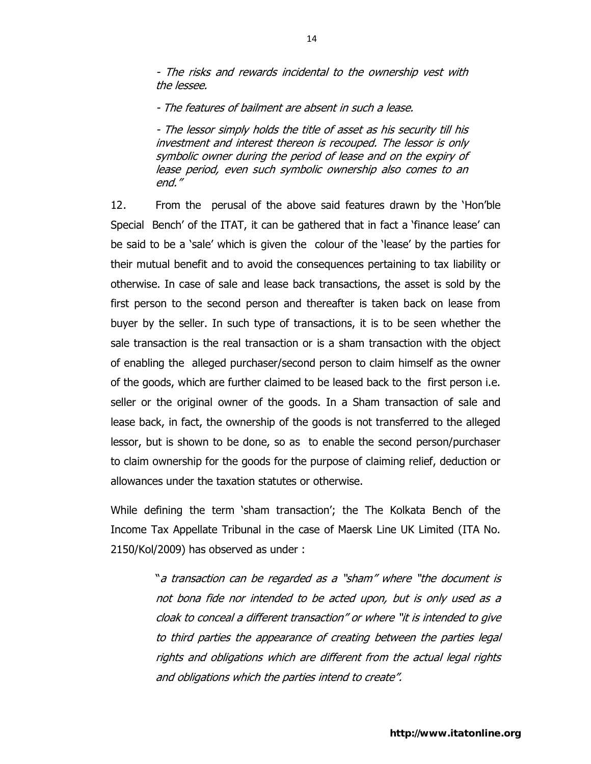- The risks and rewards incidental to the ownership vest with the lessee.

- The features of bailment are absent in such a lease.

- The lessor simply holds the title of asset as his security till his investment and interest thereon is recouped. The lessor is only symbolic owner during the period of lease and on the expiry of lease period, even such symbolic ownership also comes to an end."

12 . From the perusal of the above said features drawn by the 'Hon'ble Special Bench' of the ITAT, it can be gathered that in fact a 'finance lease' can be said to be a 'sale' which is given the colour of the 'lease' by the parties for their mutual benefit and to avoid the consequences pertaining to tax liability or otherwise. In case of sale and lease back transactions, the asset is sold by the first person to the second person and thereafter is taken back on lease from buyer by the seller. In such type of transactions, it is to be seen whether the sale transaction is the real transaction or is a sham transaction with the object of enabling the alleged purchaser/second person to claim himself as the owner of the goods, which are further claimed to be leased back to the first person i.e. seller or the original owner of the goods. In a Sham transaction of sale and lease back, in fact, the ownership of the goods is not transferred to the alleged lessor, but is shown to be done, so as to enable the second person/purchaser to claim ownership for the goods for the purpose of claiming relief, deduction or allowances under the taxation statutes or otherwise.

While defining the term 'sham transaction'; the The Kolkata Bench of the Income Tax Appellate Tribunal in the case of Maersk Line UK Limited (ITA No. 2150/Kol/2009) has observed as under :

> "a transaction can be regarded as a "sham" where "the document is not bona fide nor intended to be acted upon, but is only used as a cloak to conceal a different transaction" or where "it is intended to give to third parties the appearance of creating between the parties legal rights and obligations which are different from the actual legal rights and obligations which the parties intend to create".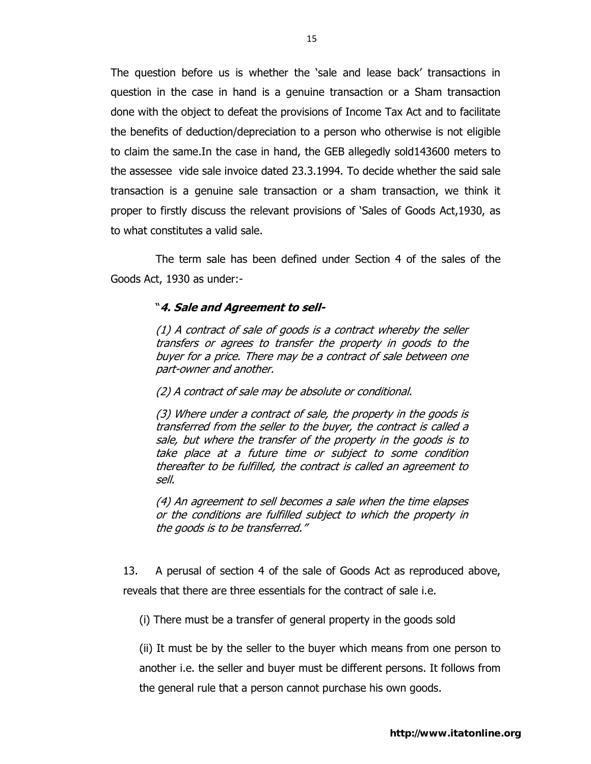The question before us is whether the 'sale and lease back' transactions in question in the case in hand is a genuine transaction or a Sham transaction done with the object to defeat the provisions of Income Tax Act and to facilitate the benefits of deduction/depreciation to a person who otherwise is not eligible to claim the same.In the case in hand, the GEB allegedly sold143600 meters to the assessee vide sale invoice dated 23.3.1994. To decide whether the said sale transaction is a genuine sale transaction or a sham transaction, we think it proper to firstly discuss the relevant provisions of 'Sales of Goods Act,1930, as to what constitutes a valid sale.

The term sale has been defined under Section 4 of the sales of the Goods Act, 1930 as under:-

## "**4. Sale and Agreement to sell-**

(1) A contract of sale of goods is a contract whereby the seller transfers or agrees to transfer the property in goods to the buyer for a price. There may be a contract of sale between one part-owner and another.

(2) A contract of sale may be absolute or conditional.

(3) Where under a contract of sale, the property in the goods is transferred from the seller to the buyer, the contract is called a sale, but where the transfer of the property in the goods is to take place at a future time or subject to some condition thereafter to be fulfilled, the contract is called an agreement to sell.

(4) An agreement to sell becomes a sale when the time elapses or the conditions are fulfilled subject to which the property in the goods is to be transferred."

13. A perusal of section 4 of the sale of Goods Act as reproduced above, reveals that there are three essentials for the contract of sale i.e.

(i) There must be a transfer of general property in the goods sold

(ii) It must be by the seller to the buyer which means from one person to another i.e. the seller and buyer must be different persons. It follows from the general rule that a person cannot purchase his own goods.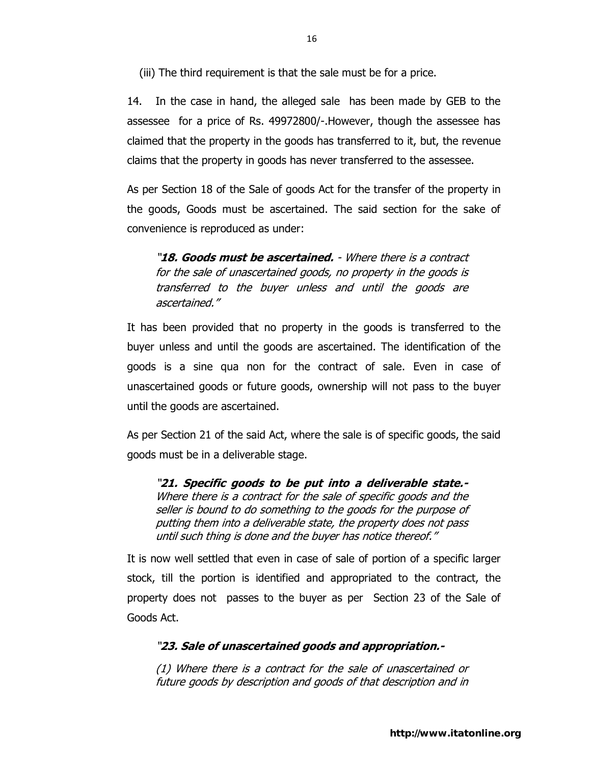(iii) The third requirement is that the sale must be for a price.

14. In the case in hand, the alleged sale has been made by GEB to the assessee for a price of Rs. 49972800/-.However, though the assessee has claimed that the property in the goods has transferred to it, but, the revenue claims that the property in goods has never transferred to the assessee.

As per Section 18 of the Sale of goods Act for the transfer of the property in the goods, Goods must be ascertained. The said section for the sake of convenience is reproduced as under:

"**18. Goods must be ascertained.** - Where there is a contract for the sale of unascertained goods, no property in the goods is transferred to the buyer unless and until the goods are ascertained."

It has been provided that no property in the goods is transferred to the buyer unless and until the goods are ascertained. The identification of the goods is a sine qua non for the contract of sale. Even in case of unascertained goods or future goods, ownership will not pass to the buyer until the goods are ascertained.

As per Section 21 of the said Act, where the sale is of specific goods, the said goods must be in a deliverable stage.

"**21. Specific goods to be put into a deliverable state.-** Where there is a contract for the sale of specific goods and the seller is bound to do something to the goods for the purpose of putting them into a deliverable state, the property does not pass until such thing is done and the buyer has notice thereof."

It is now well settled that even in case of sale of portion of a specific larger stock, till the portion is identified and appropriated to the contract, the property does not passes to the buyer as per Section 23 of the Sale of Goods Act.

## "**23. Sale of unascertained goods and appropriation.-**

(1) Where there is a contract for the sale of unascertained or future goods by description and goods of that description and in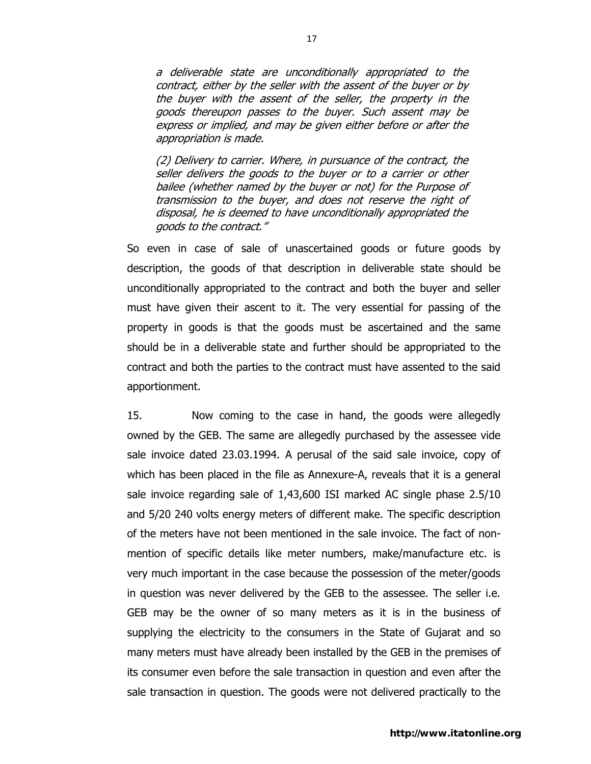a deliverable state are unconditionally appropriated to the contract, either by the seller with the assent of the buyer or by the buyer with the assent of the seller, the property in the goods thereupon passes to the buyer. Such assent may be express or implied, and may be given either before or after the appropriation is made.

(2) Delivery to carrier. Where, in pursuance of the contract, the seller delivers the goods to the buyer or to a carrier or other bailee (whether named by the buyer or not) for the Purpose of transmission to the buyer, and does not reserve the right of disposal, he is deemed to have unconditionally appropriated the goods to the contract."

So even in case of sale of unascertained goods or future goods by description, the goods of that description in deliverable state should be unconditionally appropriated to the contract and both the buyer and seller must have given their ascent to it. The very essential for passing of the property in goods is that the goods must be ascertained and the same should be in a deliverable state and further should be appropriated to the contract and both the parties to the contract must have assented to the said apportionment.

15. Now coming to the case in hand, the goods were allegedly owned by the GEB. The same are allegedly purchased by the assessee vide sale invoice dated 23.03.1994. A perusal of the said sale invoice, copy of which has been placed in the file as Annexure-A, reveals that it is a general sale invoice regarding sale of 1,43,600 ISI marked AC single phase 2.5/10 and 5/20 240 volts energy meters of different make. The specific description of the meters have not been mentioned in the sale invoice. The fact of nonmention of specific details like meter numbers, make/manufacture etc. is very much important in the case because the possession of the meter/goods in question was never delivered by the GEB to the assessee. The seller i.e. GEB may be the owner of so many meters as it is in the business of supplying the electricity to the consumers in the State of Gujarat and so many meters must have already been installed by the GEB in the premises of its consumer even before the sale transaction in question and even after the sale transaction in question. The goods were not delivered practically to the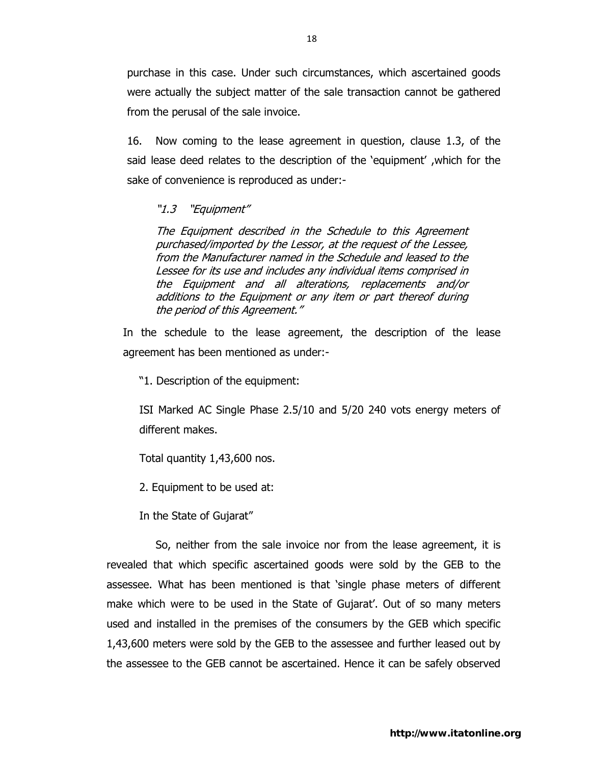purchase in this case. Under such circumstances, which ascertained goods were actually the subject matter of the sale transaction cannot be gathered from the perusal of the sale invoice.

16. Now coming to the lease agreement in question, clause 1.3, of the said lease deed relates to the description of the 'equipment' ,which for the sake of convenience is reproduced as under:-

### "1.3 "Equipment"

The Equipment described in the Schedule to this Agreement purchased/imported by the Lessor, at the request of the Lessee, from the Manufacturer named in the Schedule and leased to the Lessee for its use and includes any individual items comprised in the Equipment and all alterations, replacements and/or additions to the Equipment or any item or part thereof during the period of this Agreement."

In the schedule to the lease agreement, the description of the lease agreement has been mentioned as under:-

"1. Description of the equipment:

ISI Marked AC Single Phase 2.5/10 and 5/20 240 vots energy meters of different makes.

Total quantity 1,43,600 nos.

2. Equipment to be used at:

In the State of Gujarat"

 So, neither from the sale invoice nor from the lease agreement, it is revealed that which specific ascertained goods were sold by the GEB to the assessee. What has been mentioned is that 'single phase meters of different make which were to be used in the State of Gujarat'. Out of so many meters used and installed in the premises of the consumers by the GEB which specific 1,43,600 meters were sold by the GEB to the assessee and further leased out by the assessee to the GEB cannot be ascertained. Hence it can be safely observed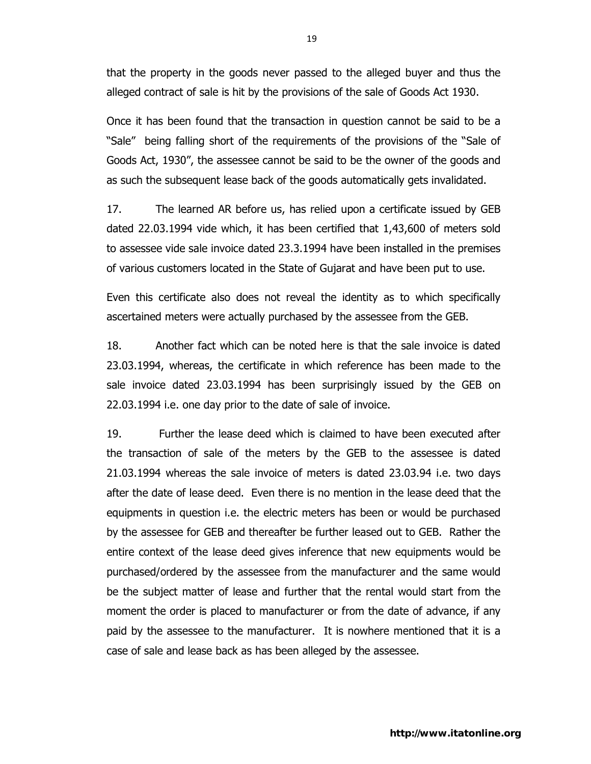that the property in the goods never passed to the alleged buyer and thus the alleged contract of sale is hit by the provisions of the sale of Goods Act 1930.

Once it has been found that the transaction in question cannot be said to be a "Sale" being falling short of the requirements of the provisions of the "Sale of Goods Act, 1930", the assessee cannot be said to be the owner of the goods and as such the subsequent lease back of the goods automatically gets invalidated.

17. The learned AR before us, has relied upon a certificate issued by GEB dated 22.03.1994 vide which, it has been certified that 1,43,600 of meters sold to assessee vide sale invoice dated 23.3.1994 have been installed in the premises of various customers located in the State of Gujarat and have been put to use.

Even this certificate also does not reveal the identity as to which specifically ascertained meters were actually purchased by the assessee from the GEB.

18. Another fact which can be noted here is that the sale invoice is dated 23.03.1994, whereas, the certificate in which reference has been made to the sale invoice dated 23.03.1994 has been surprisingly issued by the GEB on 22.03.1994 i.e. one day prior to the date of sale of invoice.

19. Further the lease deed which is claimed to have been executed after the transaction of sale of the meters by the GEB to the assessee is dated 21.03.1994 whereas the sale invoice of meters is dated 23.03.94 i.e. two days after the date of lease deed. Even there is no mention in the lease deed that the equipments in question i.e. the electric meters has been or would be purchased by the assessee for GEB and thereafter be further leased out to GEB. Rather the entire context of the lease deed gives inference that new equipments would be purchased/ordered by the assessee from the manufacturer and the same would be the subject matter of lease and further that the rental would start from the moment the order is placed to manufacturer or from the date of advance, if any paid by the assessee to the manufacturer. It is nowhere mentioned that it is a case of sale and lease back as has been alleged by the assessee.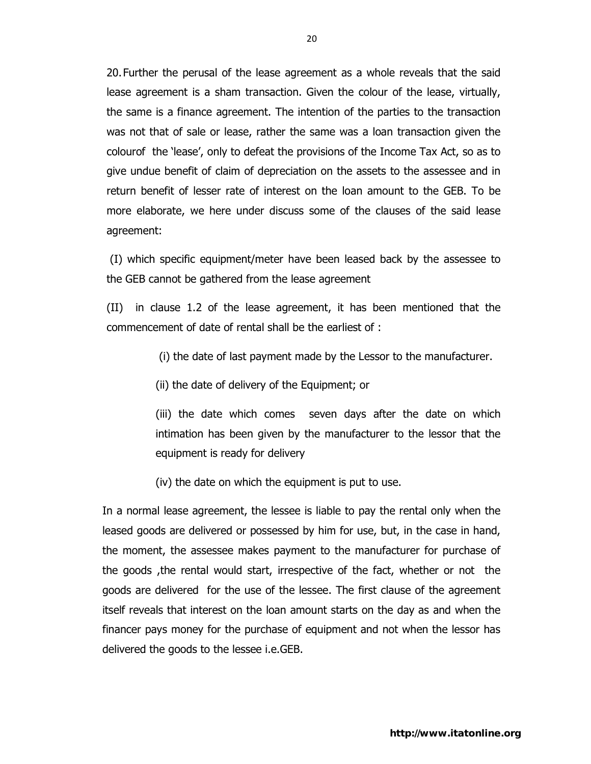20. Further the perusal of the lease agreement as a whole reveals that the said lease agreement is a sham transaction. Given the colour of the lease, virtually, the same is a finance agreement. The intention of the parties to the transaction was not that of sale or lease, rather the same was a loan transaction given the colourof the 'lease', only to defeat the provisions of the Income Tax Act, so as to give undue benefit of claim of depreciation on the assets to the assessee and in return benefit of lesser rate of interest on the loan amount to the GEB. To be more elaborate, we here under discuss some of the clauses of the said lease agreement:

 (I) which specific equipment/meter have been leased back by the assessee to the GEB cannot be gathered from the lease agreement

(II) in clause 1.2 of the lease agreement, it has been mentioned that the commencement of date of rental shall be the earliest of :

(i) the date of last payment made by the Lessor to the manufacturer.

(ii) the date of delivery of the Equipment; or

(iii) the date which comes seven days after the date on which intimation has been given by the manufacturer to the lessor that the equipment is ready for delivery

(iv) the date on which the equipment is put to use.

In a normal lease agreement, the lessee is liable to pay the rental only when the leased goods are delivered or possessed by him for use, but, in the case in hand, the moment, the assessee makes payment to the manufacturer for purchase of the goods ,the rental would start, irrespective of the fact, whether or not the goods are delivered for the use of the lessee. The first clause of the agreement itself reveals that interest on the loan amount starts on the day as and when the financer pays money for the purchase of equipment and not when the lessor has delivered the goods to the lessee i.e.GEB.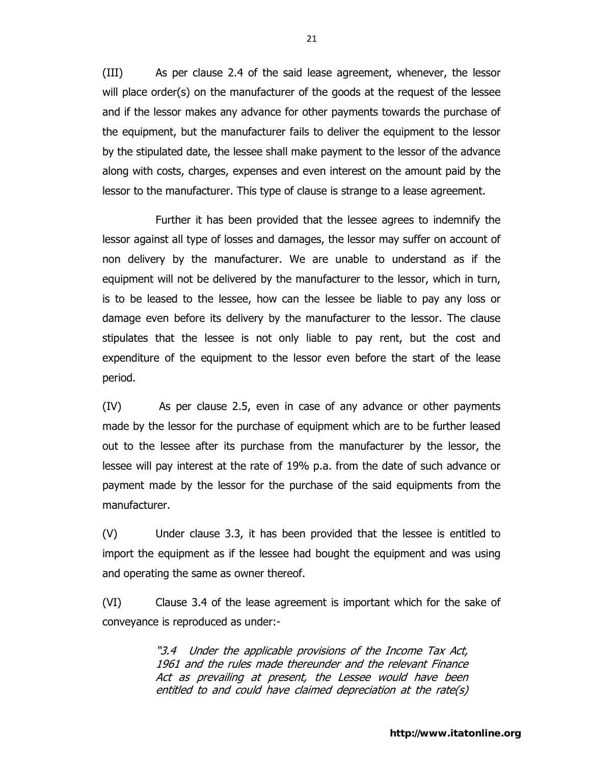(III) As per clause 2.4 of the said lease agreement, whenever, the lessor will place order(s) on the manufacturer of the goods at the request of the lessee and if the lessor makes any advance for other payments towards the purchase of the equipment, but the manufacturer fails to deliver the equipment to the lessor by the stipulated date, the lessee shall make payment to the lessor of the advance along with costs, charges, expenses and even interest on the amount paid by the lessor to the manufacturer. This type of clause is strange to a lease agreement.

Further it has been provided that the lessee agrees to indemnify the lessor against all type of losses and damages, the lessor may suffer on account of non delivery by the manufacturer. We are unable to understand as if the equipment will not be delivered by the manufacturer to the lessor, which in turn, is to be leased to the lessee, how can the lessee be liable to pay any loss or damage even before its delivery by the manufacturer to the lessor. The clause stipulates that the lessee is not only liable to pay rent, but the cost and expenditure of the equipment to the lessor even before the start of the lease period.

(IV) As per clause 2.5, even in case of any advance or other payments made by the lessor for the purchase of equipment which are to be further leased out to the lessee after its purchase from the manufacturer by the lessor, the lessee will pay interest at the rate of 19% p.a. from the date of such advance or payment made by the lessor for the purchase of the said equipments from the manufacturer.

(V) Under clause 3.3, it has been provided that the lessee is entitled to import the equipment as if the lessee had bought the equipment and was using and operating the same as owner thereof.

(VI) Clause 3.4 of the lease agreement is important which for the sake of conveyance is reproduced as under:-

> "3.4 Under the applicable provisions of the Income Tax Act, 1961 and the rules made thereunder and the relevant Finance Act as prevailing at present, the Lessee would have been entitled to and could have claimed depreciation at the rate(s)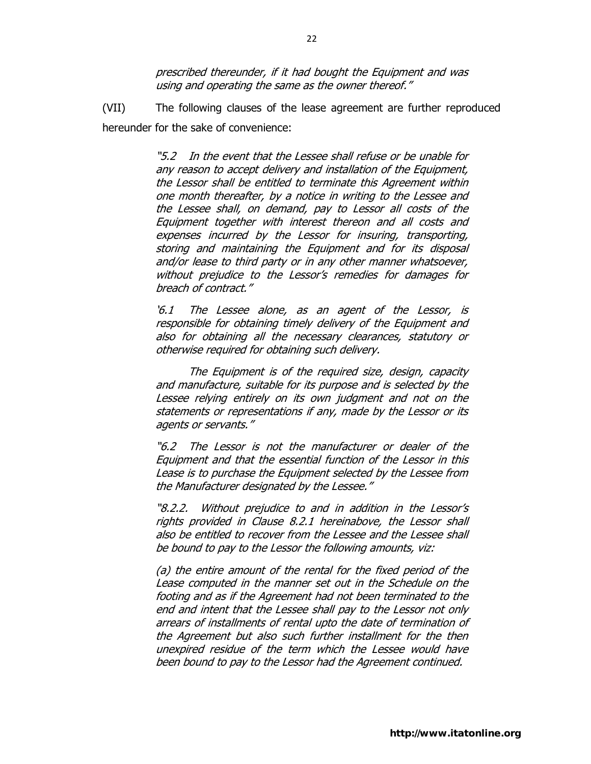prescribed thereunder, if it had bought the Equipment and was using and operating the same as the owner thereof."

(VII) The following clauses of the lease agreement are further reproduced hereunder for the sake of convenience:

> "5.2 In the event that the Lessee shall refuse or be unable for any reason to accept delivery and installation of the Equipment, the Lessor shall be entitled to terminate this Agreement within one month thereafter, by a notice in writing to the Lessee and the Lessee shall, on demand, pay to Lessor all costs of the Equipment together with interest thereon and all costs and expenses incurred by the Lessor for insuring, transporting, storing and maintaining the Equipment and for its disposal and/or lease to third party or in any other manner whatsoever, without prejudice to the Lessor's remedies for damages for breach of contract."

> '6.1 The Lessee alone, as an agent of the Lessor, is responsible for obtaining timely delivery of the Equipment and also for obtaining all the necessary clearances, statutory or otherwise required for obtaining such delivery.

> The Equipment is of the required size, design, capacity and manufacture, suitable for its purpose and is selected by the Lessee relying entirely on its own judgment and not on the statements or representations if any, made by the Lessor or its agents or servants."

> "6.2 The Lessor is not the manufacturer or dealer of the Equipment and that the essential function of the Lessor in this Lease is to purchase the Equipment selected by the Lessee from the Manufacturer designated by the Lessee."

> "8.2.2. Without prejudice to and in addition in the Lessor's rights provided in Clause 8.2.1 hereinabove, the Lessor shall also be entitled to recover from the Lessee and the Lessee shall be bound to pay to the Lessor the following amounts, viz:

> (a) the entire amount of the rental for the fixed period of the Lease computed in the manner set out in the Schedule on the footing and as if the Agreement had not been terminated to the end and intent that the Lessee shall pay to the Lessor not only arrears of installments of rental upto the date of termination of the Agreement but also such further installment for the then unexpired residue of the term which the Lessee would have been bound to pay to the Lessor had the Agreement continued.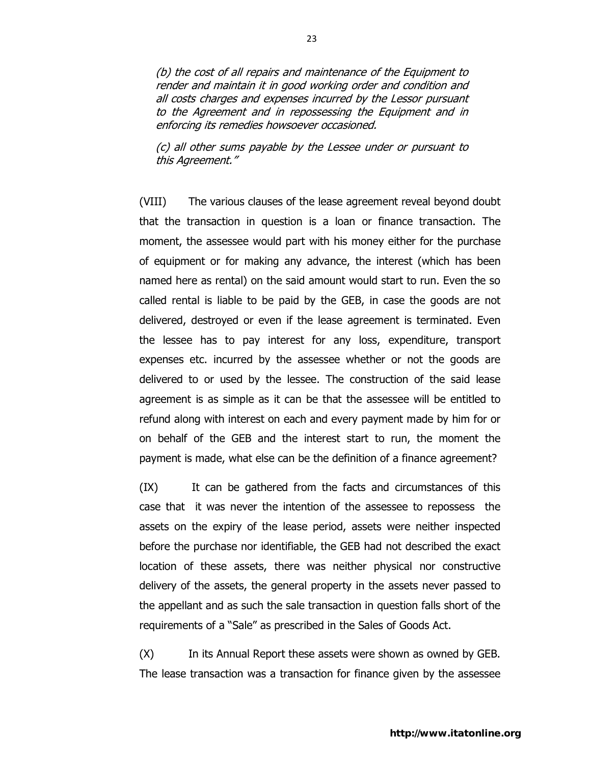(b) the cost of all repairs and maintenance of the Equipment to render and maintain it in good working order and condition and all costs charges and expenses incurred by the Lessor pursuant to the Agreement and in repossessing the Equipment and in enforcing its remedies howsoever occasioned.

(c) all other sums payable by the Lessee under or pursuant to this Agreement."

(VIII) The various clauses of the lease agreement reveal beyond doubt that the transaction in question is a loan or finance transaction. The moment, the assessee would part with his money either for the purchase of equipment or for making any advance, the interest (which has been named here as rental) on the said amount would start to run. Even the so called rental is liable to be paid by the GEB, in case the goods are not delivered, destroyed or even if the lease agreement is terminated. Even the lessee has to pay interest for any loss, expenditure, transport expenses etc. incurred by the assessee whether or not the goods are delivered to or used by the lessee. The construction of the said lease agreement is as simple as it can be that the assessee will be entitled to refund along with interest on each and every payment made by him for or on behalf of the GEB and the interest start to run, the moment the payment is made, what else can be the definition of a finance agreement?

(IX) It can be gathered from the facts and circumstances of this case that it was never the intention of the assessee to repossess the assets on the expiry of the lease period, assets were neither inspected before the purchase nor identifiable, the GEB had not described the exact location of these assets, there was neither physical nor constructive delivery of the assets, the general property in the assets never passed to the appellant and as such the sale transaction in question falls short of the requirements of a "Sale" as prescribed in the Sales of Goods Act.

(X) In its Annual Report these assets were shown as owned by GEB. The lease transaction was a transaction for finance given by the assessee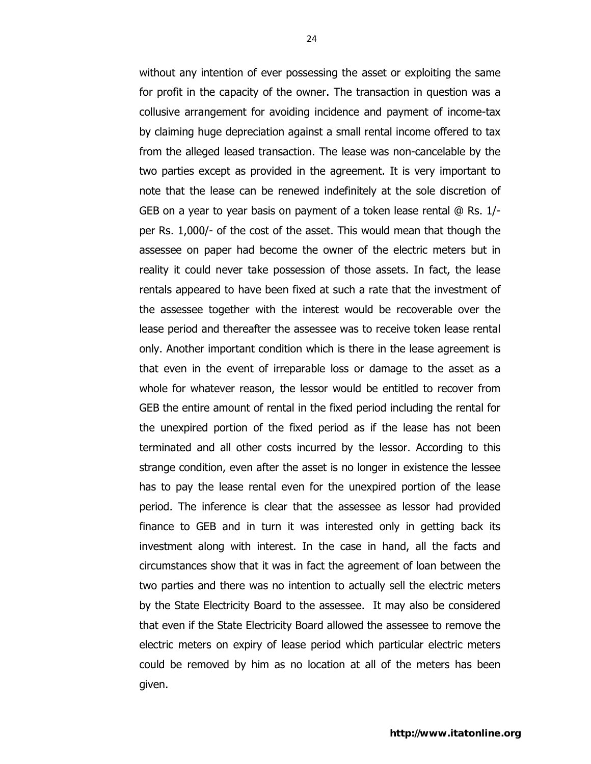without any intention of ever possessing the asset or exploiting the same for profit in the capacity of the owner. The transaction in question was a collusive arrangement for avoiding incidence and payment of income-tax by claiming huge depreciation against a small rental income offered to tax from the alleged leased transaction. The lease was non-cancelable by the two parties except as provided in the agreement. It is very important to note that the lease can be renewed indefinitely at the sole discretion of GEB on a year to year basis on payment of a token lease rental @ Rs. 1/ per Rs. 1,000/- of the cost of the asset. This would mean that though the assessee on paper had become the owner of the electric meters but in reality it could never take possession of those assets. In fact, the lease rentals appeared to have been fixed at such a rate that the investment of the assessee together with the interest would be recoverable over the lease period and thereafter the assessee was to receive token lease rental only. Another important condition which is there in the lease agreement is that even in the event of irreparable loss or damage to the asset as a whole for whatever reason, the lessor would be entitled to recover from GEB the entire amount of rental in the fixed period including the rental for the unexpired portion of the fixed period as if the lease has not been terminated and all other costs incurred by the lessor. According to this strange condition, even after the asset is no longer in existence the lessee has to pay the lease rental even for the unexpired portion of the lease period. The inference is clear that the assessee as lessor had provided finance to GEB and in turn it was interested only in getting back its investment along with interest. In the case in hand, all the facts and circumstances show that it was in fact the agreement of loan between the two parties and there was no intention to actually sell the electric meters by the State Electricity Board to the assessee. It may also be considered that even if the State Electricity Board allowed the assessee to remove the electric meters on expiry of lease period which particular electric meters could be removed by him as no location at all of the meters has been given.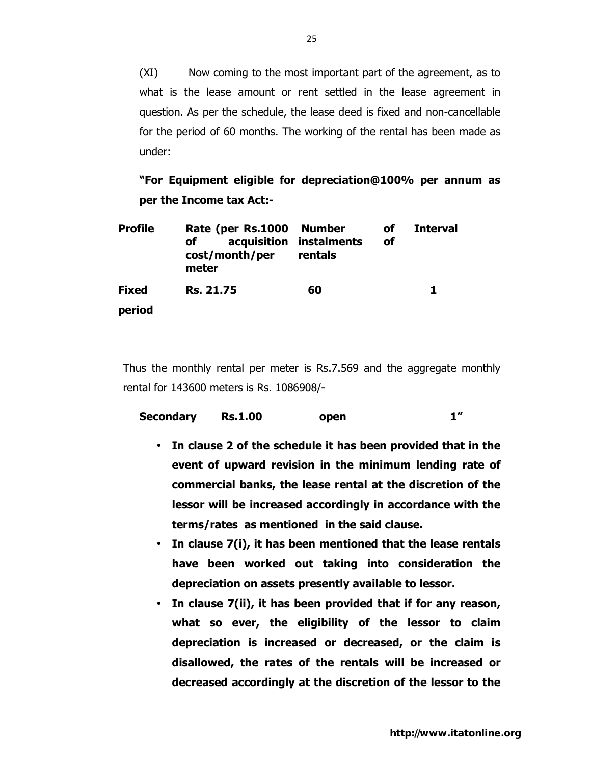(XI) Now coming to the most important part of the agreement, as to what is the lease amount or rent settled in the lease agreement in question. As per the schedule, the lease deed is fixed and non-cancellable for the period of 60 months. The working of the rental has been made as under:

**"For Equipment eligible for depreciation@100% per annum as per the Income tax Act:-** 

| <b>Profile</b> | Rate (per Rs.1000 Number<br>of<br>cost/month/per<br>meter | acquisition instalments<br>rentals | <b>of</b><br><b>of</b> | <b>Interval</b> |
|----------------|-----------------------------------------------------------|------------------------------------|------------------------|-----------------|
| <b>Fixed</b>   | <b>Rs. 21.75</b>                                          | 60                                 |                        | 1.              |
| period         |                                                           |                                    |                        |                 |

Thus the monthly rental per meter is Rs.7.569 and the aggregate monthly rental for 143600 meters is Rs. 1086908/-

| Secondary | <b>Rs.1.00</b> | open |  |
|-----------|----------------|------|--|
|           |                |      |  |

- **In clause 2 of the schedule it has been provided that in the event of upward revision in the minimum lending rate of commercial banks, the lease rental at the discretion of the lessor will be increased accordingly in accordance with the terms/rates as mentioned in the said clause.**
- **In clause 7(i), it has been mentioned that the lease rentals have been worked out taking into consideration the depreciation on assets presently available to lessor.**
- **In clause 7(ii), it has been provided that if for any reason, what so ever, the eligibility of the lessor to claim depreciation is increased or decreased, or the claim is disallowed, the rates of the rentals will be increased or decreased accordingly at the discretion of the lessor to the**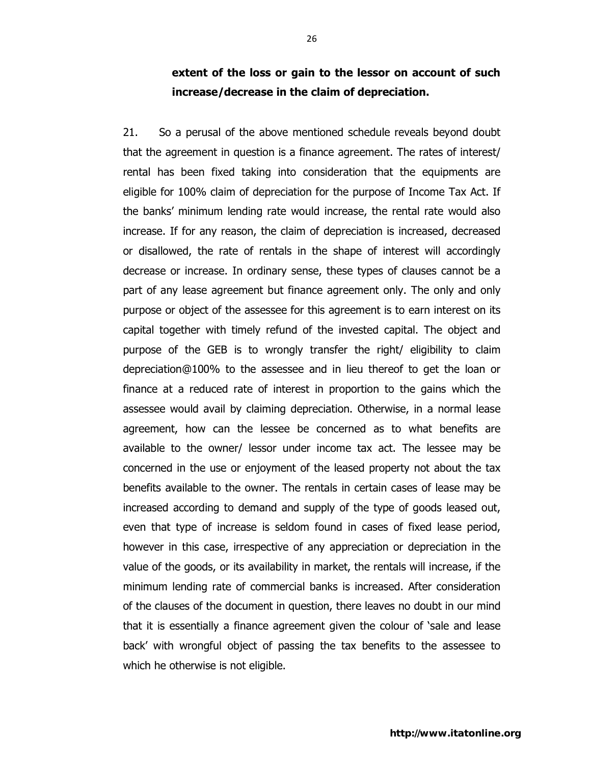## **extent of the loss or gain to the lessor on account of such increase/decrease in the claim of depreciation.**

21. So a perusal of the above mentioned schedule reveals beyond doubt that the agreement in question is a finance agreement. The rates of interest/ rental has been fixed taking into consideration that the equipments are eligible for 100% claim of depreciation for the purpose of Income Tax Act. If the banks' minimum lending rate would increase, the rental rate would also increase. If for any reason, the claim of depreciation is increased, decreased or disallowed, the rate of rentals in the shape of interest will accordingly decrease or increase. In ordinary sense, these types of clauses cannot be a part of any lease agreement but finance agreement only. The only and only purpose or object of the assessee for this agreement is to earn interest on its capital together with timely refund of the invested capital. The object and purpose of the GEB is to wrongly transfer the right/ eligibility to claim depreciation@100% to the assessee and in lieu thereof to get the loan or finance at a reduced rate of interest in proportion to the gains which the assessee would avail by claiming depreciation. Otherwise, in a normal lease agreement, how can the lessee be concerned as to what benefits are available to the owner/ lessor under income tax act. The lessee may be concerned in the use or enjoyment of the leased property not about the tax benefits available to the owner. The rentals in certain cases of lease may be increased according to demand and supply of the type of goods leased out, even that type of increase is seldom found in cases of fixed lease period, however in this case, irrespective of any appreciation or depreciation in the value of the goods, or its availability in market, the rentals will increase, if the minimum lending rate of commercial banks is increased. After consideration of the clauses of the document in question, there leaves no doubt in our mind that it is essentially a finance agreement given the colour of 'sale and lease back' with wrongful object of passing the tax benefits to the assessee to which he otherwise is not eligible.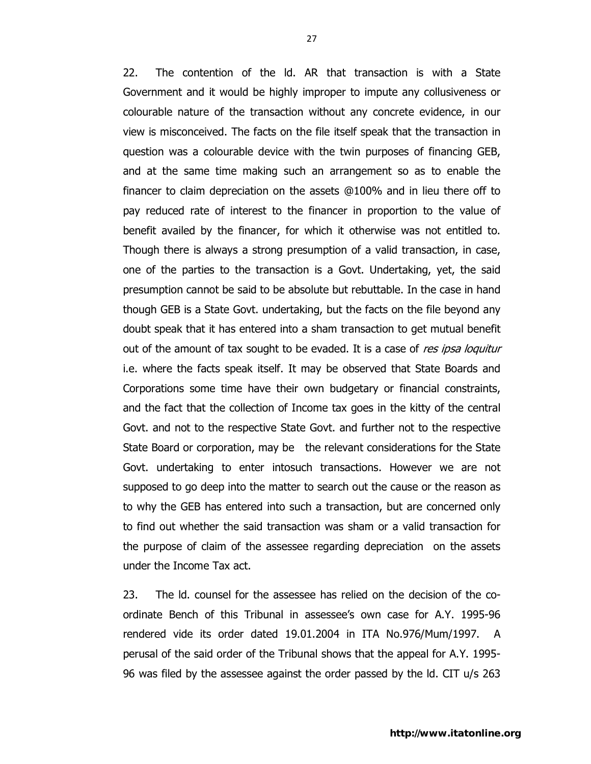22. The contention of the ld. AR that transaction is with a State Government and it would be highly improper to impute any collusiveness or colourable nature of the transaction without any concrete evidence, in our view is misconceived. The facts on the file itself speak that the transaction in question was a colourable device with the twin purposes of financing GEB, and at the same time making such an arrangement so as to enable the financer to claim depreciation on the assets @100% and in lieu there off to pay reduced rate of interest to the financer in proportion to the value of benefit availed by the financer, for which it otherwise was not entitled to. Though there is always a strong presumption of a valid transaction, in case, one of the parties to the transaction is a Govt. Undertaking, yet, the said presumption cannot be said to be absolute but rebuttable. In the case in hand though GEB is a State Govt. undertaking, but the facts on the file beyond any doubt speak that it has entered into a sham transaction to get mutual benefit out of the amount of tax sought to be evaded. It is a case of res ipsa loquitur i.e. where the facts speak itself. It may be observed that State Boards and Corporations some time have their own budgetary or financial constraints, and the fact that the collection of Income tax goes in the kitty of the central Govt. and not to the respective State Govt. and further not to the respective State Board or corporation, may be the relevant considerations for the State Govt. undertaking to enter intosuch transactions. However we are not supposed to go deep into the matter to search out the cause or the reason as to why the GEB has entered into such a transaction, but are concerned only to find out whether the said transaction was sham or a valid transaction for the purpose of claim of the assessee regarding depreciation on the assets under the Income Tax act.

23. The ld. counsel for the assessee has relied on the decision of the coordinate Bench of this Tribunal in assessee's own case for A.Y. 1995-96 rendered vide its order dated 19.01.2004 in ITA No.976/Mum/1997. A perusal of the said order of the Tribunal shows that the appeal for A.Y. 1995- 96 was filed by the assessee against the order passed by the ld. CIT u/s 263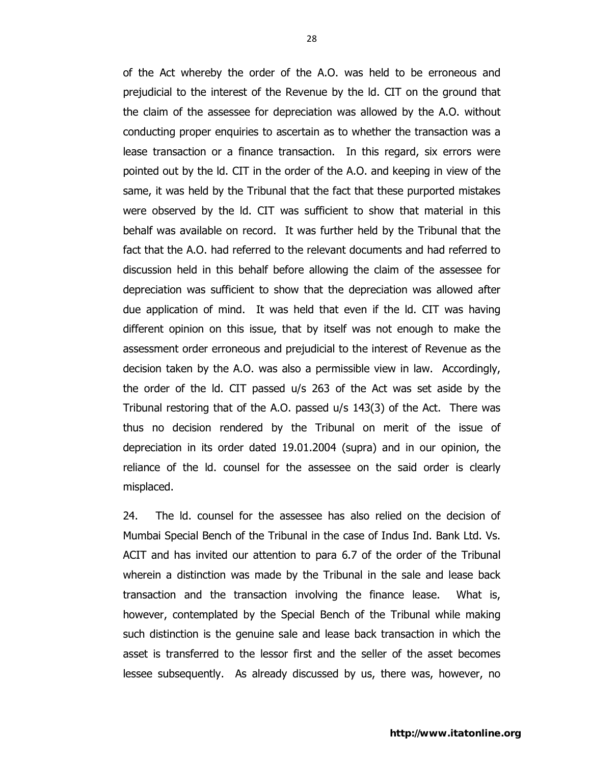of the Act whereby the order of the A.O. was held to be erroneous and prejudicial to the interest of the Revenue by the ld. CIT on the ground that the claim of the assessee for depreciation was allowed by the A.O. without conducting proper enquiries to ascertain as to whether the transaction was a lease transaction or a finance transaction. In this regard, six errors were pointed out by the ld. CIT in the order of the A.O. and keeping in view of the same, it was held by the Tribunal that the fact that these purported mistakes were observed by the ld. CIT was sufficient to show that material in this behalf was available on record. It was further held by the Tribunal that the fact that the A.O. had referred to the relevant documents and had referred to discussion held in this behalf before allowing the claim of the assessee for depreciation was sufficient to show that the depreciation was allowed after due application of mind. It was held that even if the ld. CIT was having different opinion on this issue, that by itself was not enough to make the assessment order erroneous and prejudicial to the interest of Revenue as the decision taken by the A.O. was also a permissible view in law. Accordingly, the order of the ld. CIT passed u/s 263 of the Act was set aside by the Tribunal restoring that of the A.O. passed u/s 143(3) of the Act. There was thus no decision rendered by the Tribunal on merit of the issue of depreciation in its order dated 19.01.2004 (supra) and in our opinion, the reliance of the ld. counsel for the assessee on the said order is clearly misplaced.

24. The ld. counsel for the assessee has also relied on the decision of Mumbai Special Bench of the Tribunal in the case of Indus Ind. Bank Ltd. Vs. ACIT and has invited our attention to para 6.7 of the order of the Tribunal wherein a distinction was made by the Tribunal in the sale and lease back transaction and the transaction involving the finance lease. What is, however, contemplated by the Special Bench of the Tribunal while making such distinction is the genuine sale and lease back transaction in which the asset is transferred to the lessor first and the seller of the asset becomes lessee subsequently. As already discussed by us, there was, however, no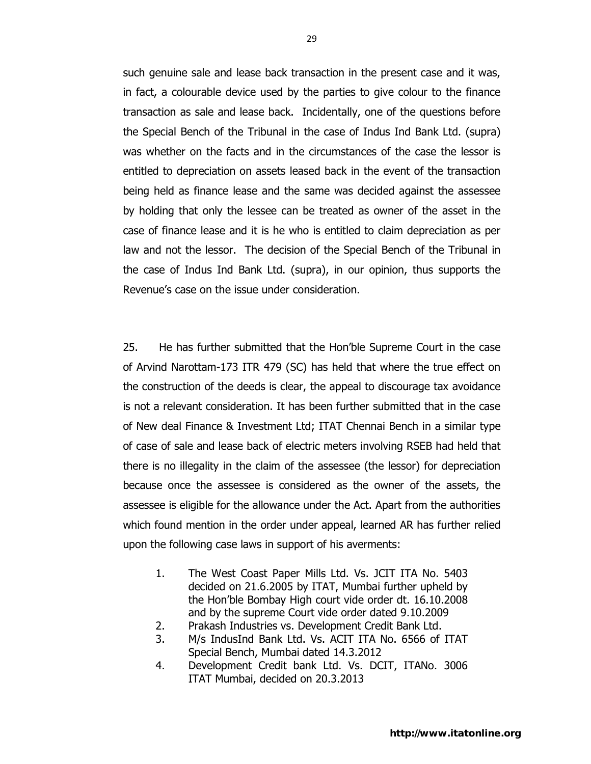such genuine sale and lease back transaction in the present case and it was, in fact, a colourable device used by the parties to give colour to the finance transaction as sale and lease back. Incidentally, one of the questions before the Special Bench of the Tribunal in the case of Indus Ind Bank Ltd. (supra) was whether on the facts and in the circumstances of the case the lessor is entitled to depreciation on assets leased back in the event of the transaction being held as finance lease and the same was decided against the assessee by holding that only the lessee can be treated as owner of the asset in the case of finance lease and it is he who is entitled to claim depreciation as per law and not the lessor. The decision of the Special Bench of the Tribunal in the case of Indus Ind Bank Ltd. (supra), in our opinion, thus supports the Revenue's case on the issue under consideration.

25. He has further submitted that the Hon'ble Supreme Court in the case of Arvind Narottam-173 ITR 479 (SC) has held that where the true effect on the construction of the deeds is clear, the appeal to discourage tax avoidance is not a relevant consideration. It has been further submitted that in the case of New deal Finance & Investment Ltd; ITAT Chennai Bench in a similar type of case of sale and lease back of electric meters involving RSEB had held that there is no illegality in the claim of the assessee (the lessor) for depreciation because once the assessee is considered as the owner of the assets, the assessee is eligible for the allowance under the Act. Apart from the authorities which found mention in the order under appeal, learned AR has further relied upon the following case laws in support of his averments:

- 1. The West Coast Paper Mills Ltd. Vs. JCIT ITA No. 5403 decided on 21.6.2005 by ITAT, Mumbai further upheld by the Hon'ble Bombay High court vide order dt. 16.10.2008 and by the supreme Court vide order dated 9.10.2009
- 2. Prakash Industries vs. Development Credit Bank Ltd.
- 3. M/s IndusInd Bank Ltd. Vs. ACIT ITA No. 6566 of ITAT Special Bench, Mumbai dated 14.3.2012
- 4. Development Credit bank Ltd. Vs. DCIT, ITANo. 3006 ITAT Mumbai, decided on 20.3.2013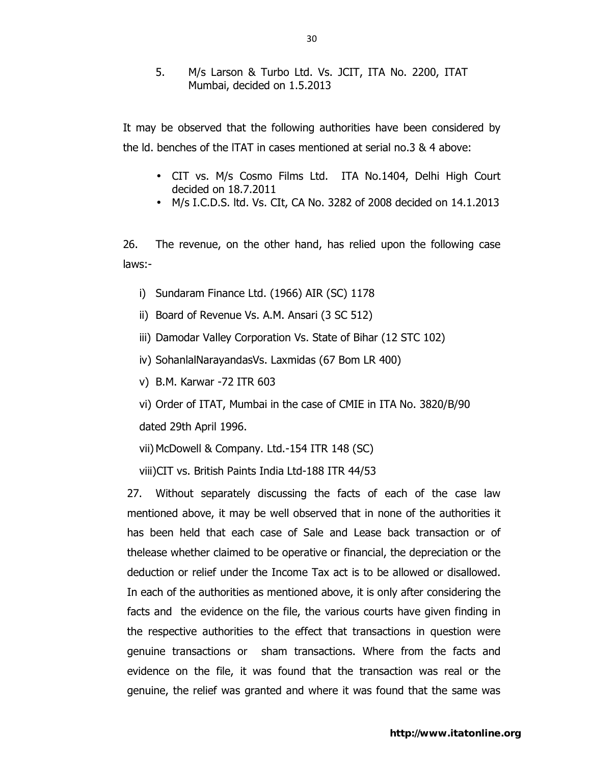## 5. M/s Larson & Turbo Ltd. Vs. JCIT, ITA No. 2200, ITAT Mumbai, decided on 1.5.2013

It may be observed that the following authorities have been considered by the ld. benches of the lTAT in cases mentioned at serial no.3 & 4 above:

- CIT vs. M/s Cosmo Films Ltd. ITA No.1404, Delhi High Court decided on 18.7.2011
- M/s I.C.D.S. ltd. Vs. CIt, CA No. 3282 of 2008 decided on 14.1.2013

26. The revenue, on the other hand, has relied upon the following case laws:-

- i) Sundaram Finance Ltd. (1966) AIR (SC) 1178
- ii) Board of Revenue Vs. A.M. Ansari (3 SC 512)
- iii) Damodar Valley Corporation Vs. State of Bihar (12 STC 102)
- iv) SohanlalNarayandasVs. Laxmidas (67 Bom LR 400)
- v) B.M. Karwar -72 ITR 603
- vi) Order of ITAT, Mumbai in the case of CMIE in ITA No. 3820/B/90 dated 29th April 1996.

vii) McDowell & Company. Ltd.-154 ITR 148 (SC)

viii)CIT vs. British Paints India Ltd-188 ITR 44/53

27. Without separately discussing the facts of each of the case law mentioned above, it may be well observed that in none of the authorities it has been held that each case of Sale and Lease back transaction or of thelease whether claimed to be operative or financial, the depreciation or the deduction or relief under the Income Tax act is to be allowed or disallowed. In each of the authorities as mentioned above, it is only after considering the facts and the evidence on the file, the various courts have given finding in the respective authorities to the effect that transactions in question were genuine transactions or sham transactions. Where from the facts and evidence on the file, it was found that the transaction was real or the genuine, the relief was granted and where it was found that the same was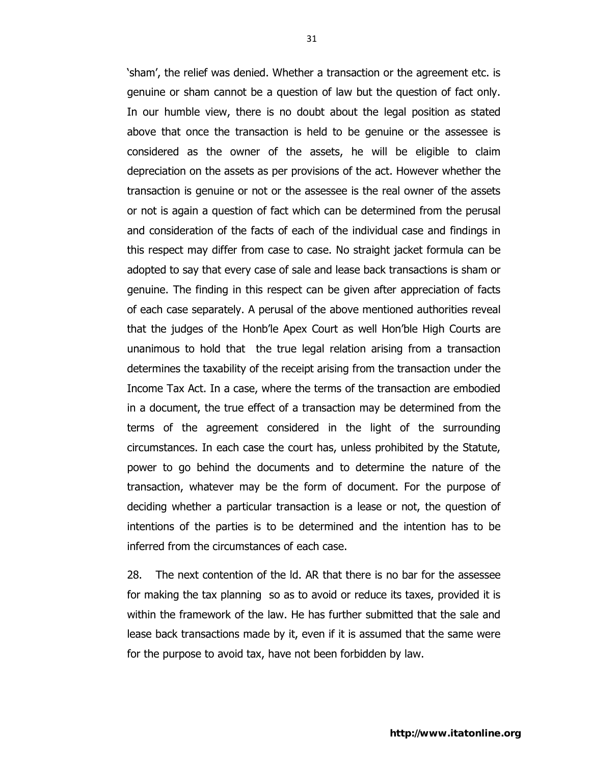'sham', the relief was denied. Whether a transaction or the agreement etc. is genuine or sham cannot be a question of law but the question of fact only. In our humble view, there is no doubt about the legal position as stated above that once the transaction is held to be genuine or the assessee is considered as the owner of the assets, he will be eligible to claim depreciation on the assets as per provisions of the act. However whether the transaction is genuine or not or the assessee is the real owner of the assets or not is again a question of fact which can be determined from the perusal and consideration of the facts of each of the individual case and findings in this respect may differ from case to case. No straight jacket formula can be adopted to say that every case of sale and lease back transactions is sham or genuine. The finding in this respect can be given after appreciation of facts of each case separately. A perusal of the above mentioned authorities reveal that the judges of the Honb'le Apex Court as well Hon'ble High Courts are unanimous to hold that the true legal relation arising from a transaction determines the taxability of the receipt arising from the transaction under the Income Tax Act. In a case, where the terms of the transaction are embodied in a document, the true effect of a transaction may be determined from the terms of the agreement considered in the light of the surrounding circumstances. In each case the court has, unless prohibited by the Statute, power to go behind the documents and to determine the nature of the transaction, whatever may be the form of document. For the purpose of deciding whether a particular transaction is a lease or not, the question of intentions of the parties is to be determined and the intention has to be inferred from the circumstances of each case.

28. The next contention of the ld. AR that there is no bar for the assessee for making the tax planning so as to avoid or reduce its taxes, provided it is within the framework of the law. He has further submitted that the sale and lease back transactions made by it, even if it is assumed that the same were for the purpose to avoid tax, have not been forbidden by law.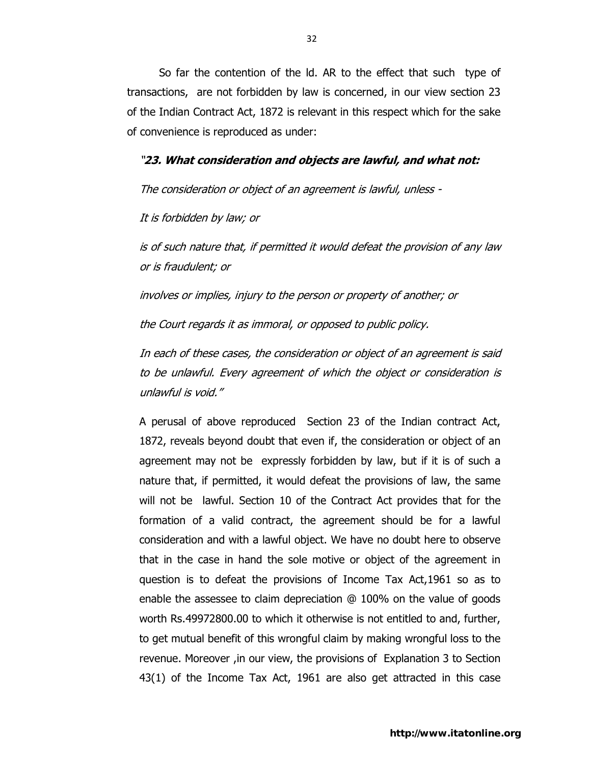So far the contention of the ld. AR to the effect that such type of transactions, are not forbidden by law is concerned, in our view section 23 of the Indian Contract Act, 1872 is relevant in this respect which for the sake of convenience is reproduced as under:

#### "**23. What consideration and objects are lawful, and what not:**

The consideration or object of an agreement is lawful, unless -

It is forbidden by law; or

is of such nature that, if permitted it would defeat the provision of any law or is fraudulent; or

involves or implies, injury to the person or property of another; or

the Court regards it as immoral, or opposed to public policy.

In each of these cases, the consideration or object of an agreement is said to be unlawful. Every agreement of which the object or consideration is unlawful is void."

A perusal of above reproduced Section 23 of the Indian contract Act, 1872, reveals beyond doubt that even if, the consideration or object of an agreement may not be expressly forbidden by law, but if it is of such a nature that, if permitted, it would defeat the provisions of law, the same will not be lawful. Section 10 of the Contract Act provides that for the formation of a valid contract, the agreement should be for a lawful consideration and with a lawful object. We have no doubt here to observe that in the case in hand the sole motive or object of the agreement in question is to defeat the provisions of Income Tax Act,1961 so as to enable the assessee to claim depreciation @ 100% on the value of goods worth Rs.49972800.00 to which it otherwise is not entitled to and, further, to get mutual benefit of this wrongful claim by making wrongful loss to the revenue. Moreover ,in our view, the provisions of Explanation 3 to Section 43(1) of the Income Tax Act, 1961 are also get attracted in this case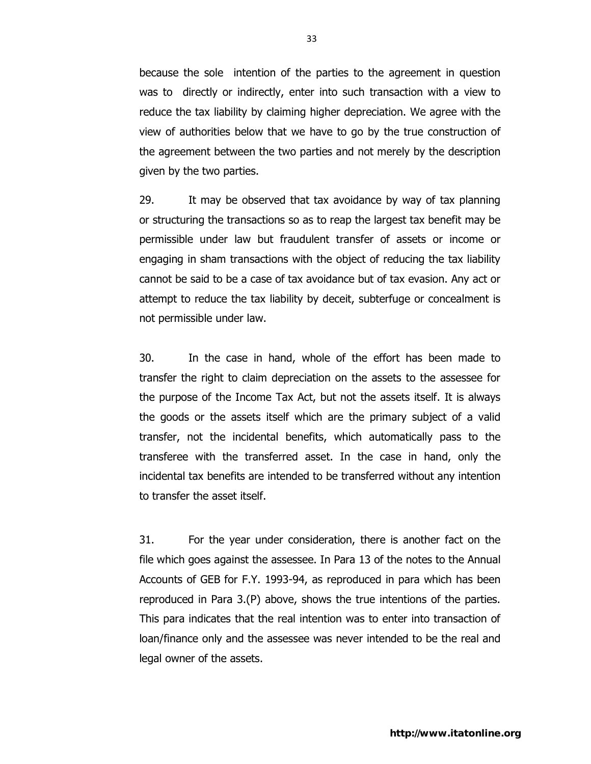because the sole intention of the parties to the agreement in question was to directly or indirectly, enter into such transaction with a view to reduce the tax liability by claiming higher depreciation. We agree with the view of authorities below that we have to go by the true construction of the agreement between the two parties and not merely by the description given by the two parties.

29. It may be observed that tax avoidance by way of tax planning or structuring the transactions so as to reap the largest tax benefit may be permissible under law but fraudulent transfer of assets or income or engaging in sham transactions with the object of reducing the tax liability cannot be said to be a case of tax avoidance but of tax evasion. Any act or attempt to reduce the tax liability by deceit, subterfuge or concealment is not permissible under law.

30. In the case in hand, whole of the effort has been made to transfer the right to claim depreciation on the assets to the assessee for the purpose of the Income Tax Act, but not the assets itself. It is always the goods or the assets itself which are the primary subject of a valid transfer, not the incidental benefits, which automatically pass to the transferee with the transferred asset. In the case in hand, only the incidental tax benefits are intended to be transferred without any intention to transfer the asset itself.

31. For the year under consideration, there is another fact on the file which goes against the assessee. In Para 13 of the notes to the Annual Accounts of GEB for F.Y. 1993-94, as reproduced in para which has been reproduced in Para 3.(P) above, shows the true intentions of the parties. This para indicates that the real intention was to enter into transaction of loan/finance only and the assessee was never intended to be the real and legal owner of the assets.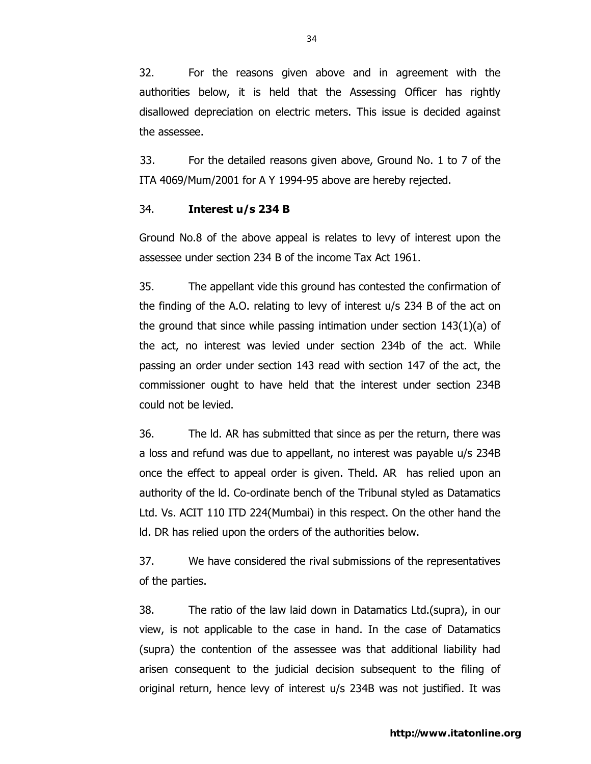32. For the reasons given above and in agreement with the authorities below, it is held that the Assessing Officer has rightly disallowed depreciation on electric meters. This issue is decided against the assessee.

 33. For the detailed reasons given above, Ground No. 1 to 7 of the ITA 4069/Mum/2001 for A Y 1994-95 above are hereby rejected.

## 34. **Interest u/s 234 B**

Ground No.8 of the above appeal is relates to levy of interest upon the assessee under section 234 B of the income Tax Act 1961.

35. The appellant vide this ground has contested the confirmation of the finding of the A.O. relating to levy of interest u/s 234 B of the act on the ground that since while passing intimation under section  $143(1)(a)$  of the act, no interest was levied under section 234b of the act. While passing an order under section 143 read with section 147 of the act, the commissioner ought to have held that the interest under section 234B could not be levied.

36. The ld. AR has submitted that since as per the return, there was a loss and refund was due to appellant, no interest was payable u/s 234B once the effect to appeal order is given. Theld. AR has relied upon an authority of the ld. Co-ordinate bench of the Tribunal styled as Datamatics Ltd. Vs. ACIT 110 ITD 224(Mumbai) in this respect. On the other hand the ld. DR has relied upon the orders of the authorities below.

37. We have considered the rival submissions of the representatives of the parties.

38. The ratio of the law laid down in Datamatics Ltd.(supra), in our view, is not applicable to the case in hand. In the case of Datamatics (supra) the contention of the assessee was that additional liability had arisen consequent to the judicial decision subsequent to the filing of original return, hence levy of interest u/s 234B was not justified. It was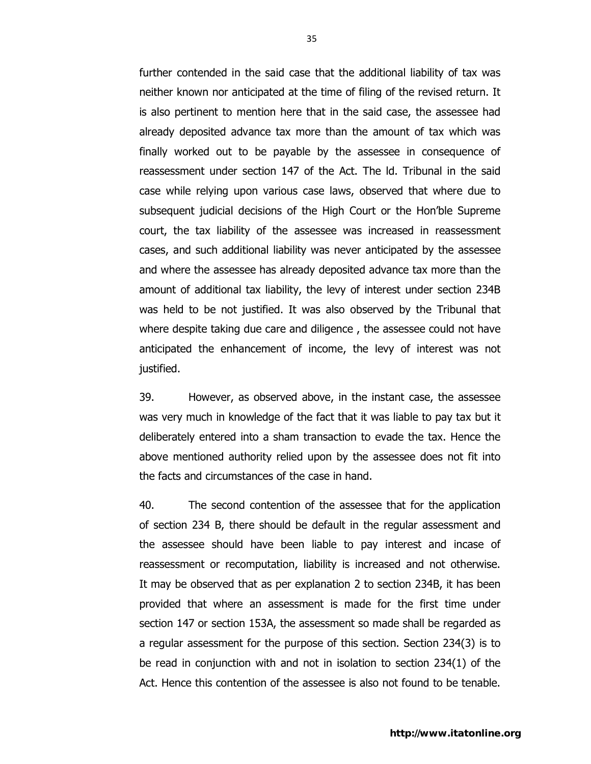further contended in the said case that the additional liability of tax was neither known nor anticipated at the time of filing of the revised return. It is also pertinent to mention here that in the said case, the assessee had already deposited advance tax more than the amount of tax which was finally worked out to be payable by the assessee in consequence of reassessment under section 147 of the Act. The ld. Tribunal in the said case while relying upon various case laws, observed that where due to subsequent judicial decisions of the High Court or the Hon'ble Supreme court, the tax liability of the assessee was increased in reassessment cases, and such additional liability was never anticipated by the assessee and where the assessee has already deposited advance tax more than the amount of additional tax liability, the levy of interest under section 234B was held to be not justified. It was also observed by the Tribunal that where despite taking due care and diligence , the assessee could not have anticipated the enhancement of income, the levy of interest was not justified.

39. However, as observed above, in the instant case, the assessee was very much in knowledge of the fact that it was liable to pay tax but it deliberately entered into a sham transaction to evade the tax. Hence the above mentioned authority relied upon by the assessee does not fit into the facts and circumstances of the case in hand.

40. The second contention of the assessee that for the application of section 234 B, there should be default in the regular assessment and the assessee should have been liable to pay interest and incase of reassessment or recomputation, liability is increased and not otherwise. It may be observed that as per explanation 2 to section 234B, it has been provided that where an assessment is made for the first time under section 147 or section 153A, the assessment so made shall be regarded as a regular assessment for the purpose of this section. Section 234(3) is to be read in conjunction with and not in isolation to section 234(1) of the Act. Hence this contention of the assessee is also not found to be tenable.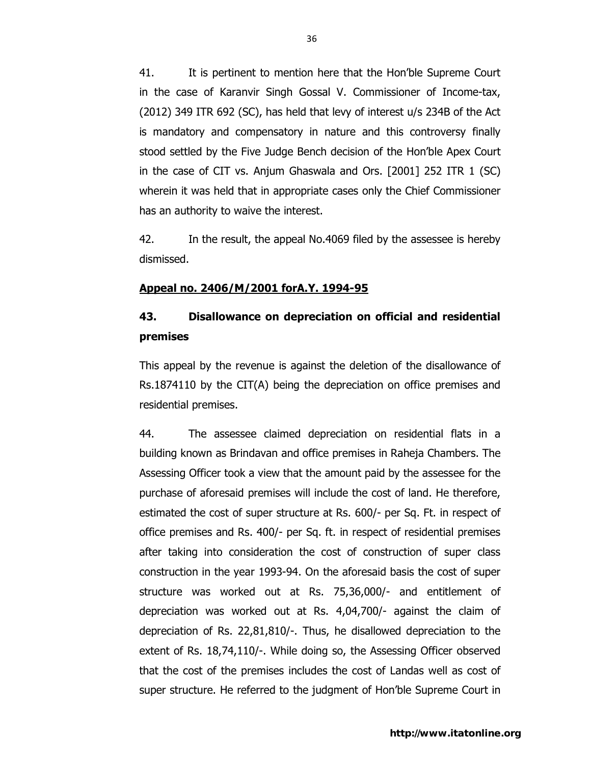41. It is pertinent to mention here that the Hon'ble Supreme Court in the case of Karanvir Singh Gossal V. Commissioner of Income-tax, (2012) 349 ITR 692 (SC), has held that levy of interest u/s 234B of the Act is mandatory and compensatory in nature and this controversy finally stood settled by the Five Judge Bench decision of the Hon'ble Apex Court in the case of CIT vs. Anjum Ghaswala and Ors. [2001] 252 ITR 1 (SC) wherein it was held that in appropriate cases only the Chief Commissioner has an authority to waive the interest.

42. In the result, the appeal No.4069 filed by the assessee is hereby dismissed.

#### **Appeal no. 2406/M/2001 forA.Y. 1994-95**

## **43. Disallowance on depreciation on official and residential premises**

This appeal by the revenue is against the deletion of the disallowance of Rs.1874110 by the CIT(A) being the depreciation on office premises and residential premises.

44. The assessee claimed depreciation on residential flats in a building known as Brindavan and office premises in Raheja Chambers. The Assessing Officer took a view that the amount paid by the assessee for the purchase of aforesaid premises will include the cost of land. He therefore, estimated the cost of super structure at Rs. 600/- per Sq. Ft. in respect of office premises and Rs. 400/- per Sq. ft. in respect of residential premises after taking into consideration the cost of construction of super class construction in the year 1993-94. On the aforesaid basis the cost of super structure was worked out at Rs. 75,36,000/- and entitlement of depreciation was worked out at Rs. 4,04,700/- against the claim of depreciation of Rs. 22,81,810/-. Thus, he disallowed depreciation to the extent of Rs. 18,74,110/-. While doing so, the Assessing Officer observed that the cost of the premises includes the cost of Landas well as cost of super structure. He referred to the judgment of Hon'ble Supreme Court in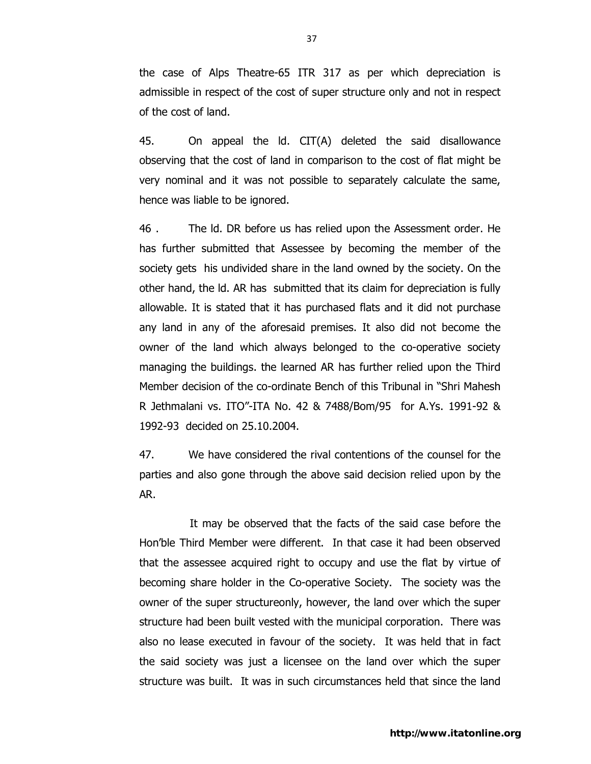the case of Alps Theatre-65 ITR 317 as per which depreciation is admissible in respect of the cost of super structure only and not in respect of the cost of land.

45. On appeal the ld. CIT(A) deleted the said disallowance observing that the cost of land in comparison to the cost of flat might be very nominal and it was not possible to separately calculate the same, hence was liable to be ignored.

46 . The ld. DR before us has relied upon the Assessment order. He has further submitted that Assessee by becoming the member of the society gets his undivided share in the land owned by the society. On the other hand, the ld. AR has submitted that its claim for depreciation is fully allowable. It is stated that it has purchased flats and it did not purchase any land in any of the aforesaid premises. It also did not become the owner of the land which always belonged to the co-operative society managing the buildings. the learned AR has further relied upon the Third Member decision of the co-ordinate Bench of this Tribunal in "Shri Mahesh R Jethmalani vs. ITO"-ITA No. 42 & 7488/Bom/95 for A.Ys. 1991-92 & 1992-93 decided on 25.10.2004.

47. We have considered the rival contentions of the counsel for the parties and also gone through the above said decision relied upon by the AR.

 It may be observed that the facts of the said case before the Hon'ble Third Member were different. In that case it had been observed that the assessee acquired right to occupy and use the flat by virtue of becoming share holder in the Co-operative Society. The society was the owner of the super structureonly, however, the land over which the super structure had been built vested with the municipal corporation. There was also no lease executed in favour of the society. It was held that in fact the said society was just a licensee on the land over which the super structure was built. It was in such circumstances held that since the land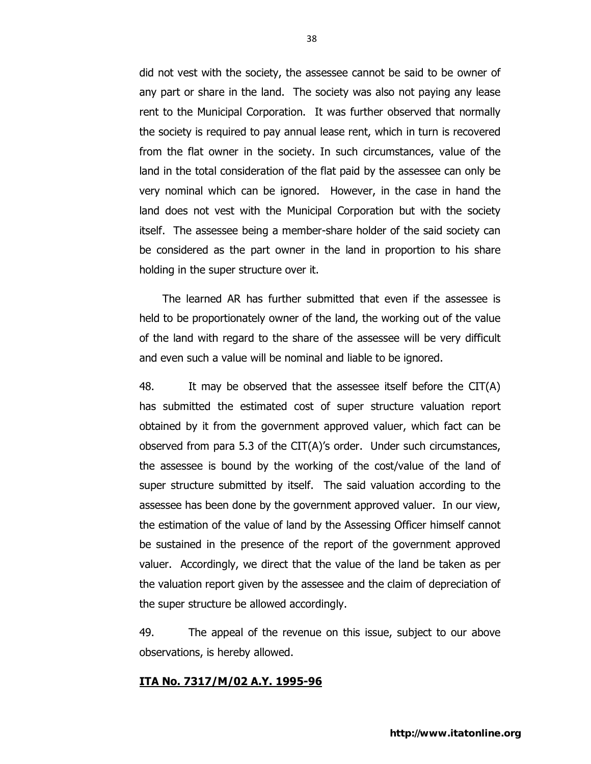did not vest with the society, the assessee cannot be said to be owner of any part or share in the land. The society was also not paying any lease rent to the Municipal Corporation. It was further observed that normally the society is required to pay annual lease rent, which in turn is recovered from the flat owner in the society. In such circumstances, value of the land in the total consideration of the flat paid by the assessee can only be very nominal which can be ignored. However, in the case in hand the land does not vest with the Municipal Corporation but with the society itself. The assessee being a member-share holder of the said society can be considered as the part owner in the land in proportion to his share holding in the super structure over it.

 The learned AR has further submitted that even if the assessee is held to be proportionately owner of the land, the working out of the value of the land with regard to the share of the assessee will be very difficult and even such a value will be nominal and liable to be ignored.

48. It may be observed that the assessee itself before the CIT(A) has submitted the estimated cost of super structure valuation report obtained by it from the government approved valuer, which fact can be observed from para 5.3 of the CIT(A)'s order. Under such circumstances, the assessee is bound by the working of the cost/value of the land of super structure submitted by itself. The said valuation according to the assessee has been done by the government approved valuer. In our view, the estimation of the value of land by the Assessing Officer himself cannot be sustained in the presence of the report of the government approved valuer. Accordingly, we direct that the value of the land be taken as per the valuation report given by the assessee and the claim of depreciation of the super structure be allowed accordingly.

49. The appeal of the revenue on this issue, subject to our above observations, is hereby allowed.

#### **ITA No. 7317/M/02 A.Y. 1995-96**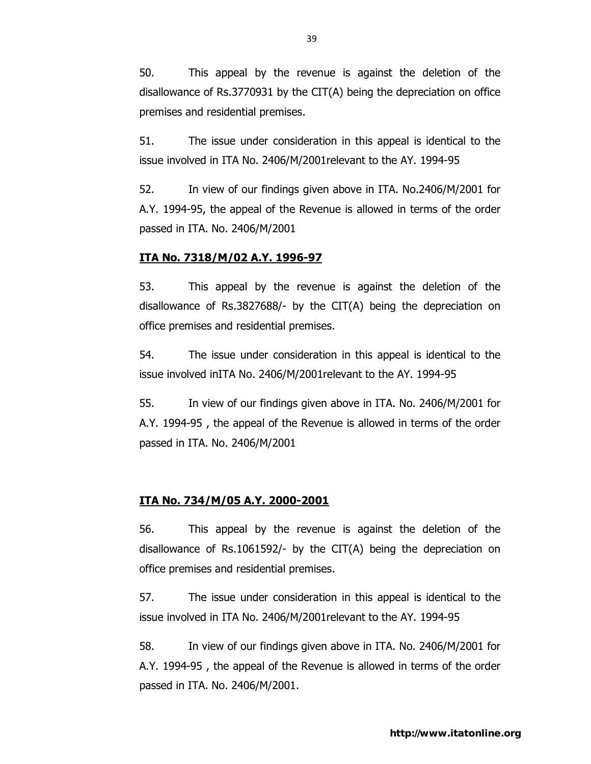50. This appeal by the revenue is against the deletion of the disallowance of Rs.3770931 by the CIT(A) being the depreciation on office premises and residential premises.

51. The issue under consideration in this appeal is identical to the issue involved in ITA No. 2406/M/2001relevant to the AY. 1994-95

52. In view of our findings given above in ITA. No.2406/M/2001 for A.Y. 1994-95, the appeal of the Revenue is allowed in terms of the order passed in ITA. No. 2406/M/2001

#### **ITA No. 7318/M/02 A.Y. 1996-97**

53. This appeal by the revenue is against the deletion of the disallowance of Rs.3827688/- by the CIT(A) being the depreciation on office premises and residential premises.

54. The issue under consideration in this appeal is identical to the issue involved inITA No. 2406/M/2001relevant to the AY. 1994-95

55. In view of our findings given above in ITA. No. 2406/M/2001 for A.Y. 1994-95 , the appeal of the Revenue is allowed in terms of the order passed in ITA. No. 2406/M/2001

#### **ITA No. 734/M/05 A.Y. 2000-2001**

56. This appeal by the revenue is against the deletion of the disallowance of Rs.1061592/- by the CIT(A) being the depreciation on office premises and residential premises.

57. The issue under consideration in this appeal is identical to the issue involved in ITA No. 2406/M/2001relevant to the AY. 1994-95

58. In view of our findings given above in ITA. No. 2406/M/2001 for A.Y. 1994-95 , the appeal of the Revenue is allowed in terms of the order passed in ITA. No. 2406/M/2001.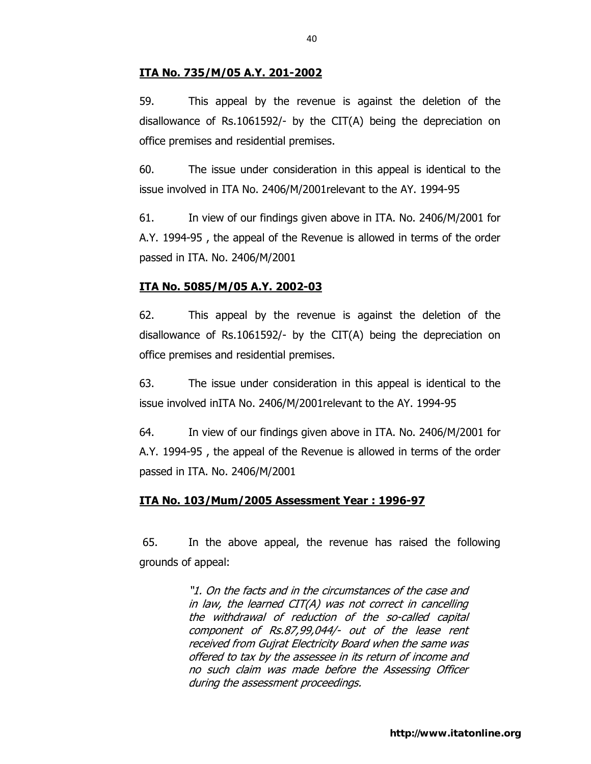## **ITA No. 735/M/05 A.Y. 201-2002**

59. This appeal by the revenue is against the deletion of the disallowance of Rs.1061592/- by the CIT(A) being the depreciation on office premises and residential premises.

60. The issue under consideration in this appeal is identical to the issue involved in ITA No. 2406/M/2001relevant to the AY. 1994-95

61. In view of our findings given above in ITA. No. 2406/M/2001 for A.Y. 1994-95 , the appeal of the Revenue is allowed in terms of the order passed in ITA. No. 2406/M/2001

### **ITA No. 5085/M/05 A.Y. 2002-03**

62. This appeal by the revenue is against the deletion of the disallowance of Rs.1061592/- by the CIT(A) being the depreciation on office premises and residential premises.

63. The issue under consideration in this appeal is identical to the issue involved inITA No. 2406/M/2001relevant to the AY. 1994-95

64. In view of our findings given above in ITA. No. 2406/M/2001 for A.Y. 1994-95 , the appeal of the Revenue is allowed in terms of the order passed in ITA. No. 2406/M/2001

#### **ITA No. 103/Mum/2005 Assessment Year : 1996-97**

65. In the above appeal, the revenue has raised the following grounds of appeal:

> "1. On the facts and in the circumstances of the case and in law, the learned CIT(A) was not correct in cancelling the withdrawal of reduction of the so-called capital component of Rs.87,99,044/- out of the lease rent received from Gujrat Electricity Board when the same was offered to tax by the assessee in its return of income and no such claim was made before the Assessing Officer during the assessment proceedings.